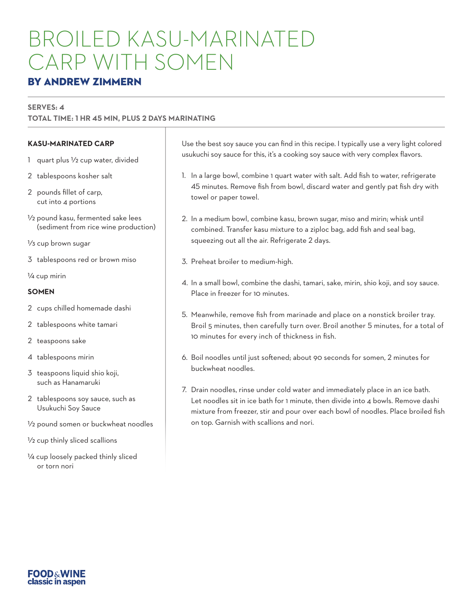# BROILED KASU-MARINATED CARP WITH SOMEN

## BY ANDREW ZIMMERN

#### **SERVES: 4**

**TOTAL TIME: 1 HR 45 MIN, PLUS 2 DAYS MARINATING**

### **KASU-MARINATED CARP**

- 1 quart plus 1/2 cup water, divided
- 2 tablespoons kosher salt
- 2 pounds fillet of carp, cut into 4 portions
- 1⁄2 pound kasu, fermented sake lees (sediment from rice wine production)

1⁄3 cup brown sugar

3 tablespoons red or brown miso

1⁄4 cup mirin

#### **SOMEN**

2 cups chilled homemade dashi

2 tablespoons white tamari

- 2 teaspoons sake
- 4 tablespoons mirin
- 3 teaspoons liquid shio koji, such as Hanamaruki
- 2 tablespoons soy sauce, such as Usukuchi Soy Sauce
- 1/2 pound somen or buckwheat noodles
- 1⁄2 cup thinly sliced scallions
- 1/4 cup loosely packed thinly sliced or torn nori

Use the best soy sauce you can find in this recipe. I typically use a very light colored usukuchi soy sauce for this, it's a cooking soy sauce with very complex flavors.

- 1. In a large bowl, combine 1 quart water with salt. Add fish to water, refrigerate 45 minutes. Remove fish from bowl, discard water and gently pat fish dry with towel or paper towel.
- 2. In a medium bowl, combine kasu, brown sugar, miso and mirin; whisk until combined. Transfer kasu mixture to a ziploc bag, add fish and seal bag, squeezing out all the air. Refrigerate 2 days.
- 3. Preheat broiler to medium-high.
- 4. In a small bowl, combine the dashi, tamari, sake, mirin, shio koji, and soy sauce. Place in freezer for 10 minutes.
- 5. Meanwhile, remove fish from marinade and place on a nonstick broiler tray. Broil 5 minutes, then carefully turn over. Broil another 5 minutes, for a total of 10 minutes for every inch of thickness in fish.
- 6. Boil noodles until just softened; about 90 seconds for somen, 2 minutes for buckwheat noodles.
- 7. Drain noodles, rinse under cold water and immediately place in an ice bath. Let noodles sit in ice bath for 1 minute, then divide into 4 bowls. Remove dashi mixture from freezer, stir and pour over each bowl of noodles. Place broiled fish on top. Garnish with scallions and nori.

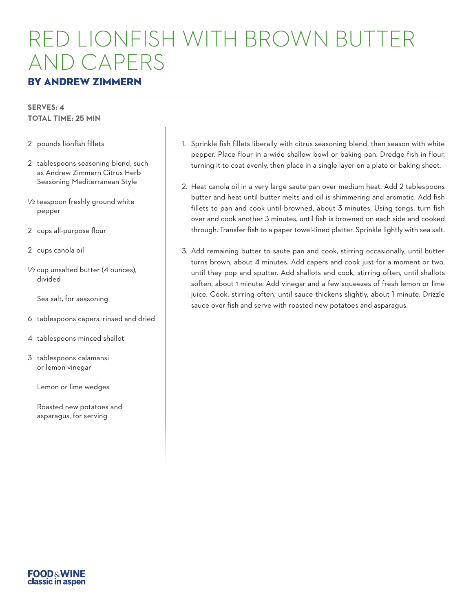# ED LIONFISH WITH BROWN BUTT AND CAPERS

## BY ANDREW ZIMMERN

#### **SERVES: 4 TOTAL TIME: 25 MIN**

- 2 pounds lionfish fillets
- 2 tablespoons seasoning blend, such as Andrew Zimmern Citrus Herb Seasoning Mediterranean Style
- 1/2 teaspoon freshly ground white pepper
- 2 cups all-purpose flour
- 2 cups canola oil
- 1/2 cup unsalted butter (4 ounces), divided
	- Sea salt, for seasoning
- 6 tablespoons capers, rinsed and dried
- 4 tablespoons minced shallot
- 3 tablespoons calamansi or lemon vinegar
	- Lemon or lime wedges
	- Roasted new potatoes and asparagus, for serving
- 1. Sprinkle fish fillets liberally with citrus seasoning blend, then season with white pepper. Place flour in a wide shallow bowl or baking pan. Dredge fish in flour, turning it to coat evenly, then place in a single layer on a plate or baking sheet.
- 2. Heat canola oil in a very large saute pan over medium heat. Add 2 tablespoons butter and heat until butter melts and oil is shimmering and aromatic. Add fish fillets to pan and cook until browned, about 3 minutes. Using tongs, turn fish over and cook another 3 minutes, until fish is browned on each side and cooked through. Transfer fish to a paper towel-lined platter. Sprinkle lightly with sea salt.
- 3. Add remaining butter to saute pan and cook, stirring occasionally, until butter turns brown, about 4 minutes. Add capers and cook just for a moment or two, until they pop and sputter. Add shallots and cook, stirring often, until shallots soften, about 1 minute. Add vinegar and a few squeezes of fresh lemon or lime juice. Cook, stirring often, until sauce thickens slightly, about 1 minute. Drizzle sauce over fish and serve with roasted new potatoes and asparagus.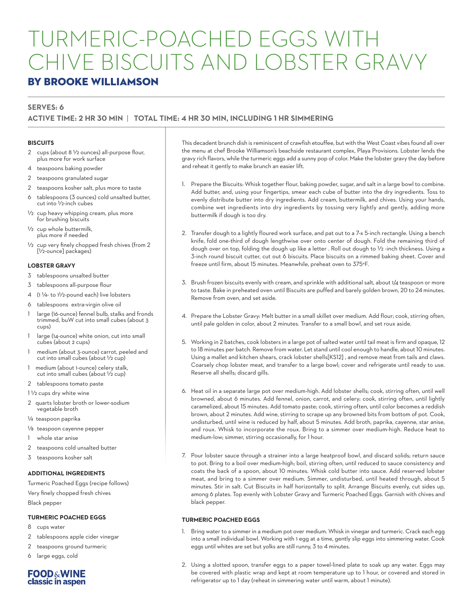# TURMERIC-POACHED EGGS WITH CHIVE BISCUITS AND LOBSTER GRAVY

### BY BROOKE WILLIAMSON

#### **SERVES: 6**

#### **ACTIVE TIME: 2 HR 30 MIN** | **TOTAL TIME: 4 HR 30 MIN, INCLUDING 1 HR SIMMERING**

#### **BISCUITS**

- 2 cups (about 8 1/2 ounces) all-purpose flour, plus more for work surface
- 4 teaspoons baking powder
- 2 teaspoons granulated sugar
- 2 teaspoons kosher salt, plus more to taste 6 tablespoons (3 ounces) cold unsalted butter,
- cut into 1/2-inch cubes  $1/2$  cup heavy whipping cream, plus more
- for brushing biscuits 1/2 cup whole buttermilk, plus more if needed
- $1/2$  cup very finely chopped fresh chives (from 2 [1/2-ounce] packages)

#### **LOBSTER GRAVY**

- 3 tablespoons unsalted butter
- 3 tablespoons all-purpose flour
- 4 (1 1/4- to 1<sup>1</sup>/2-pound each) live lobsters
- 6 tablespoons extra-virgin olive oil
- large (16-ounce) fennel bulb, stalks and fronds trimmed, buW cut into small cubes (about 3 cups)
- 1 large (14-ounce) white onion, cut into small cubes (about 2 cups)
- medium (about 3-ounce) carrot, peeled and cut into small cubes (about 1/2 cup)
- 1 medium (about 1-ounce) celery stalk, cut into small cubes (about 1/2 cup)
- 2 tablespoons tomato paste
- 1 1/2 cups dry white wine
- 2 quarts lobster broth or lower-sodium vegetable broth
- 1/4 teaspoon paprika
- 1/8 teaspoon cayenne pepper
- whole star anise
- 2 teaspoons cold unsalted butter
- 3 teaspoons kosher salt

#### **ADDITIONAL INGREDIENTS**

Turmeric Poached Eggs (recipe follows) Very finely chopped fresh chives Black pepper

#### **TURMERIC POACHED EGGS**

- 8 cups water
- 2 tablespoons apple cider vinegar
- 2 teaspoons ground turmeric
- 6 large eggs, cold



This decadent brunch dish is reminiscent of crawfish etouffee, but with the West Coast vibes found all over the menu at chef Brooke Williamson's beachside restaurant complex, Playa Provisions. Lobster lends the gravy rich flavors, while the turmeric eggs add a sunny pop of color. Make the lobster gravy the day before and reheat it gently to make brunch an easier lift.

- 1. Prepare the Biscuits: Whisk together flour, baking powder, sugar, and salt in a large bowl to combine. Add butter, and, using your fingertips, smear each cube of butter into the dry ingredients. Toss to evenly distribute butter into dry ingredients. Add cream, buttermilk, and chives. Using your hands, combine wet ingredients into dry ingredients by tossing very lightly and gently, adding more buttermilk if dough is too dry.
- 2. Transfer dough to a lightly floured work surface, and pat out to a 7-x 5-inch rectangle. Using a bench knife, fold one-third of dough lengthwise over onto center of dough. Fold the remaining third of dough over on top, folding the dough up like a letter . Roll out dough to 1/2 -inch thickness. Using a 3-inch round biscuit cutter, cut out 6 biscuits. Place biscuits on a rimmed baking sheet. Cover and freeze until firm, about 15 minutes. Meanwhile, preheat oven to 375°F.
- 3. Brush frozen biscuits evenly with cream, and sprinkle with additional salt, about 1/4 teaspoon or more to taste. Bake in preheated oven until Biscuits are puffed and barely golden brown, 20 to 24 minutes. Remove from oven, and set aside.
- 4. Prepare the Lobster Gravy: Melt butter in a small skillet over medium. Add flour; cook, stirring often, until pale golden in color, about 2 minutes. Transfer to a small bowl, and set roux aside.
- 5. Working in 2 batches, cook lobsters in a large pot of salted water until tail meat is firm and opaque, 12 to 18 minutes per batch. Remove from water. Let stand until cool enough to handle, about 10 minutes. Using a mallet and kitchen shears, crack lobster shells[KS12] , and remove meat from tails and claws. Coarsely chop lobster meat, and transfer to a large bowl; cover and refrigerate until ready to use. Reserve all shells; discard gills.
- 6. Heat oil in a separate large pot over medium-high. Add lobster shells; cook, stirring often, until well browned, about 6 minutes. Add fennel, onion, carrot, and celery; cook, stirring often, until lightly caramelized, about 15 minutes. Add tomato paste; cook, stirring often, until color becomes a reddish brown, about 2 minutes. Add wine, stirring to scrape up any browned bits from bottom of pot. Cook, undisturbed, until wine is reduced by half, about 5 minutes. Add broth, paprika, cayenne, star anise, and roux. Whisk to incorporate the roux. Bring to a simmer over medium-high. Reduce heat to medium-low; simmer, stirring occasionally, for 1 hour.
- 7. Pour lobster sauce through a strainer into a large heatproof bowl, and discard solids; return sauce to pot. Bring to a boil over medium-high; boil, stirring often, until reduced to sauce consistency and coats the back of a spoon, about 10 minutes. Whisk cold butter into sauce. Add reserved lobster meat, and bring to a simmer over medium. Simmer, undisturbed, until heated through, about 5 minutes. Stir in salt. Cut Biscuits in half horizontally to split. Arrange Biscuits evenly, cut sides up, among 6 plates. Top evenly with Lobster Gravy and Turmeric Poached Eggs. Garnish with chives and black pepper.

#### **TURMERIC POACHED EGGS**

- 1. Bring water to a simmer in a medium pot over medium. Whisk in vinegar and turmeric. Crack each egg into a small individual bowl. Working with 1 egg at a time, gently slip eggs into simmering water. Cook eggs until whites are set but yolks are still runny, 3 to 4 minutes.
- 2. Using a slotted spoon, transfer eggs to a paper towel-lined plate to soak up any water. Eggs may be covered with plastic wrap and kept at room temperature up to 1 hour, or covered and stored in refrigerator up to 1 day (reheat in simmering water until warm, about 1 minute).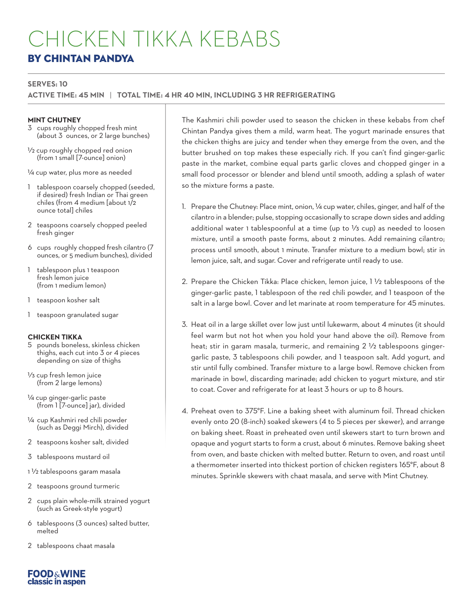# CHICKEN TIKKA KEBABS BY CHINTAN PANDYA

#### **SERVES: 10**

**ACTIVE TIME: 45 MIN** | **TOTAL TIME: 4 HR 40 MIN, INCLUDING 3 HR REFRIGERATING**

#### **MINT CHUTNEY**

- 3 cups roughly chopped fresh mint (about 3 ½unces, or 2 large bunches)
- 1/2 cup roughly chopped red onion (from 1 small [7-ounce] onion)

1/4 cup water, plus more as needed

- 1 tablespoon coarsely chopped (seeded, if desired) fresh Indian or Thai green chiles (from 4 medium [about 1/2 ounce total] chiles
- 2 teaspoons coarsely chopped peeled fresh ginger
- 6 cups roughly chopped fresh cilantro (7 ounces, or 5 medium bunches), divided
- 1 tablespoon plus 1 teaspoon fresh lemon juice (from 1 medium lemon)
- 1 teaspoon kosher salt
- 1 teaspoon granulated sugar

#### **CHICKEN TIKKA**

- 5 pounds boneless, skinless chicken thighs, each cut into 3 or 4 pieces depending on size of thighs
- 1/3 cup fresh lemon juice (from 2 large lemons)
- 1/4 cup ginger-garlic paste (from 1 [7-ounce] jar), divided
- 1/4 cup Kashmiri red chili powder (such as Deggi Mirch), divided
- 2 teaspoons kosher salt, divided
- 3 tablespoons mustard oil
- 1 1/2 tablespoons garam masala
- 2 teaspoons ground turmeric
- 2 cups plain whole-milk strained yogurt (such as Greek-style yogurt)
- 6 tablespoons (3 ounces) salted butter, melted
- 2 tablespoons chaat masala



The Kashmiri chili powder used to season the chicken in these kebabs from chef Chintan Pandya gives them a mild, warm heat. The yogurt marinade ensures that the chicken thighs are juicy and tender when they emerge from the oven, and the butter brushed on top makes these especially rich. If you can't find ginger-garlic paste in the market, combine equal parts garlic cloves and chopped ginger in a small food processor or blender and blend until smooth, adding a splash of water so the mixture forms a paste.

- 1. Prepare the Chutney: Place mint, onion, 1/4 cup water, chiles, ginger, and half of the cilantro in a blender; pulse, stopping occasionally to scrape down sides and adding additional water 1 tablespoonful at a time (up to 1/3 cup) as needed to loosen mixture, until a smooth paste forms, about 2 minutes. Add remaining cilantro; process until smooth, about 1 minute. Transfer mixture to a medium bowl; stir in lemon juice, salt, and sugar. Cover and refrigerate until ready to use.
- 2. Prepare the Chicken Tikka: Place chicken, lemon juice, 1 1/2 tablespoons of the ginger-garlic paste, 1 tablespoon of the red chili powder, and 1 teaspoon of the salt in a large bowl. Cover and let marinate at room temperature for 45 minutes.
- 3. Heat oil in a large skillet over low just until lukewarm, about 4 minutes (it should feel warm but not hot when you hold your hand above the oil). Remove from heat; stir in garam masala, turmeric, and remaining 2 1/2 tablespoons gingergarlic paste, 3 tablespoons chili powder, and 1 teaspoon salt. Add yogurt, and stir until fully combined. Transfer mixture to a large bowl. Remove chicken from marinade in bowl, discarding marinade; add chicken to yogurt mixture, and stir to coat. Cover and refrigerate for at least 3 hours or up to 8 hours.
- 4. Preheat oven to 375°F. Line a baking sheet with aluminum foil. Thread chicken evenly onto 20 (8-inch) soaked skewers (4 to 5 pieces per skewer), and arrange on baking sheet. Roast in preheated oven until skewers start to turn brown and opaque and yogurt starts to form a crust, about 6 minutes. Remove baking sheet from oven, and baste chicken with melted butter. Return to oven, and roast until a thermometer inserted into thickest portion of chicken registers 165°F, about 8 minutes. Sprinkle skewers with chaat masala, and serve with Mint Chutney.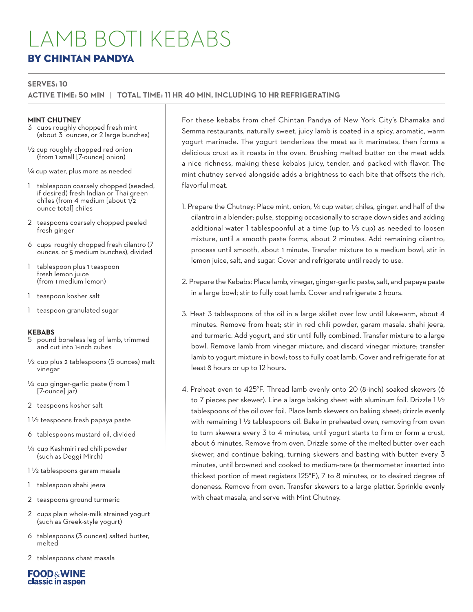## LAMB BOTI KEBABS BY CHINTAN PANDYA

#### **SERVES: 10**

**ACTIVE TIME: 50 MIN** | **TOTAL TIME: 11 HR 40 MIN, INCLUDING 10 HR REFRIGERATING**

#### **MINT CHUTNEY**

- 3 cups roughly chopped fresh mint (about 3 *kunces*, or 2 large bunches)
- 1/2 cup roughly chopped red onion (from 1 small [7-ounce] onion)

1/4 cup water, plus more as needed

- tablespoon coarsely chopped (seeded, if desired) fresh Indian or Thai green chiles (from 4 medium [about 1/2 ounce total] chiles
- 2 teaspoons coarsely chopped peeled fresh ginger
- 6 cups roughly chopped fresh cilantro (7 ounces, or 5 medium bunches), divided
- 1 tablespoon plus 1 teaspoon fresh lemon juice (from 1 medium lemon)
- 1 teaspoon kosher salt
- 1 teaspoon granulated sugar

#### **KEBABS**

- 5 pound boneless leg of lamb, trimmed and cut into 1-inch cubes
- 1/2 cup plus 2 tablespoons (5 ounces) malt vinegar
- 1/4 cup ginger-garlic paste (from 1 [7-ounce] jar)
- 2 teaspoons kosher salt
- 1 1/2 teaspoons fresh papaya paste
- 6 tablespoons mustard oil, divided
- 1/4 cup Kashmiri red chili powder (such as Deggi Mirch)
- 1 1/2 tablespoons garam masala
- 1 tablespoon shahi jeera
- 2 teaspoons ground turmeric
- 2 cups plain whole-milk strained yogurt (such as Greek-style yogurt)
- 6 tablespoons (3 ounces) salted butter, melted
- 2 tablespoons chaat masala

**FOOD&WINE** classic in aspen For these kebabs from chef Chintan Pandya of New York City's Dhamaka and Semma restaurants, naturally sweet, juicy lamb is coated in a spicy, aromatic, warm yogurt marinade. The yogurt tenderizes the meat as it marinates, then forms a delicious crust as it roasts in the oven. Brushing melted butter on the meat adds a nice richness, making these kebabs juicy, tender, and packed with flavor. The mint chutney served alongside adds a brightness to each bite that offsets the rich, flavorful meat.

- 1. Prepare the Chutney: Place mint, onion, 1/4 cup water, chiles, ginger, and half of the cilantro in a blender; pulse, stopping occasionally to scrape down sides and adding additional water 1 tablespoonful at a time (up to 1/3 cup) as needed to loosen mixture, until a smooth paste forms, about 2 minutes. Add remaining cilantro; process until smooth, about 1 minute. Transfer mixture to a medium bowl; stir in lemon juice, salt, and sugar. Cover and refrigerate until ready to use.
- 2. Prepare the Kebabs: Place lamb, vinegar, ginger-garlic paste, salt, and papaya paste in a large bowl; stir to fully coat lamb. Cover and refrigerate 2 hours.
- 3. Heat 3 tablespoons of the oil in a large skillet over low until lukewarm, about 4 minutes. Remove from heat; stir in red chili powder, garam masala, shahi jeera, and turmeric. Add yogurt, and stir until fully combined. Transfer mixture to a large bowl. Remove lamb from vinegar mixture, and discard vinegar mixture; transfer lamb to yogurt mixture in bowl; toss to fully coat lamb. Cover and refrigerate for at least 8 hours or up to 12 hours.
- 4. Preheat oven to 425°F. Thread lamb evenly onto 20 (8-inch) soaked skewers (6 to 7 pieces per skewer). Line a large baking sheet with aluminum foil. Drizzle 1 1/2 tablespoons of the oil over foil. Place lamb skewers on baking sheet; drizzle evenly with remaining  $1\frac{1}{2}$  tablespoons oil. Bake in preheated oven, removing from oven to turn skewers every 3 to 4 minutes, until yogurt starts to firm or form a crust, about 6 minutes. Remove from oven. Drizzle some of the melted butter over each skewer, and continue baking, turning skewers and basting with butter every 3 minutes, until browned and cooked to medium-rare (a thermometer inserted into thickest portion of meat registers 125°F), 7 to 8 minutes, or to desired degree of doneness. Remove from oven. Transfer skewers to a large platter. Sprinkle evenly with chaat masala, and serve with Mint Chutney.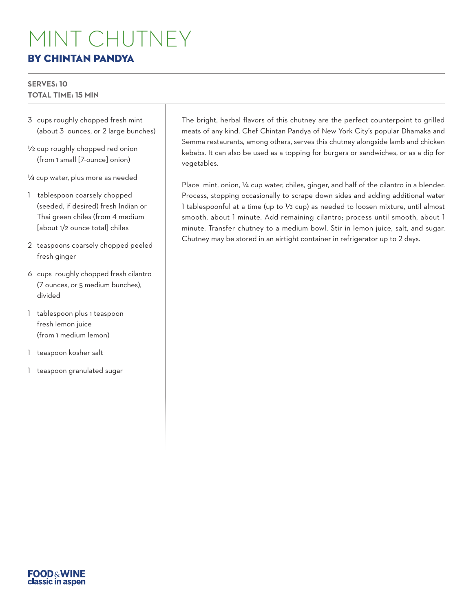# MINT CHUTNEY BY CHINTAN PANDYA

#### **SERVES: 10 TOTAL TIME: 15 MIN**

- 3 cups roughly chopped fresh mint (about 3 %unces, or 2 large bunches)
- 1/2 cup roughly chopped red onion (from 1 small [7-ounce] onion)

1/4 cup water, plus more as needed

- 1 tablespoon coarsely chopped (seeded, if desired) fresh Indian or Thai green chiles (from 4 medium [about 1/2 ounce total] chiles
- 2 teaspoons coarsely chopped peeled fresh ginger
- 6 cups roughly chopped fresh cilantro (7 ounces, or 5 medium bunches), divided
- 1 tablespoon plus 1 teaspoon fresh lemon juice (from 1 medium lemon)
- 1 teaspoon kosher salt
- 1 teaspoon granulated sugar

The bright, herbal flavors of this chutney are the perfect counterpoint to grilled meats of any kind. Chef Chintan Pandya of New York City's popular Dhamaka and Semma restaurants, among others, serves this chutney alongside lamb and chicken kebabs. It can also be used as a topping for burgers or sandwiches, or as a dip for vegetables.

Place mint, onion, 1/4 cup water, chiles, ginger, and half of the cilantro in a blender. Process, stopping occasionally to scrape down sides and adding additional water 1 tablespoonful at a time (up to  $\frac{1}{3}$  cup) as needed to loosen mixture, until almost smooth, about 1 minute. Add remaining cilantro; process until smooth, about 1 minute. Transfer chutney to a medium bowl. Stir in lemon juice, salt, and sugar. Chutney may be stored in an airtight container in refrigerator up to 2 days.

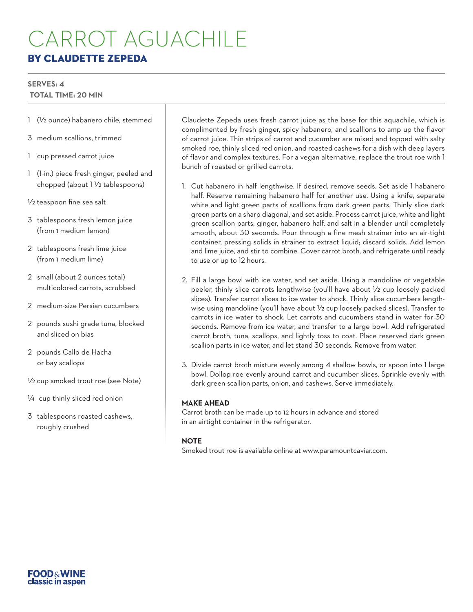# CARROT AGUACHILE BY CLAUDETTE ZEPEDA

## **SERVES: 4**

#### **TOTAL TIME: 20 MIN**

- 1 (1/2 ounce) habanero chile, stemmed
- 3 medium scallions, trimmed
- 1 cup pressed carrot juice
- 1 (1-in.) piece fresh ginger, peeled and chopped (about 1 1/2 tablespoons)
- 1/2 teaspoon fine sea salt
- 3 tablespoons fresh lemon juice (from 1 medium lemon)
- 2 tablespoons fresh lime juice (from 1 medium lime)
- 2 small (about 2 ounces total) multicolored carrots, scrubbed
- 2 medium-size Persian cucumbers
- 2 pounds sushi grade tuna, blocked and sliced on bias
- 2 pounds Callo de Hacha or bay scallops
- 1/2 cup smoked trout roe (see Note)
- 1/4 cup thinly sliced red onion
- 3 tablespoons roasted cashews, roughly crushed

Claudette Zepeda uses fresh carrot juice as the base for this aquachile, which is complimented by fresh ginger, spicy habanero, and scallions to amp up the flavor of carrot juice. Thin strips of carrot and cucumber are mixed and topped with salty smoked roe, thinly sliced red onion, and roasted cashews for a dish with deep layers of flavor and complex textures. For a vegan alternative, replace the trout roe with 1 bunch of roasted or grilled carrots.

- 1. Cut habanero in half lengthwise. If desired, remove seeds. Set aside 1 habanero half. Reserve remaining habanero half for another use. Using a knife, separate white and light green parts of scallions from dark green parts. Thinly slice dark green parts on a sharp diagonal, and set aside. Process carrot juice, white and light green scallion parts, ginger, habanero half, and salt in a blender until completely smooth, about 30 seconds. Pour through a fine mesh strainer into an air-tight container, pressing solids in strainer to extract liquid; discard solids. Add lemon and lime juice, and stir to combine. Cover carrot broth, and refrigerate until ready to use or up to 12 hours.
- 2. Fill a large bowl with ice water, and set aside. Using a mandoline or vegetable peeler, thinly slice carrots lengthwise (you'll have about 1/2 cup loosely packed slices). Transfer carrot slices to ice water to shock. Thinly slice cucumbers lengthwise using mandoline (you'll have about  $\frac{1}{2}$  cup loosely packed slices). Transfer to carrots in ice water to shock. Let carrots and cucumbers stand in water for 30 seconds. Remove from ice water, and transfer to a large bowl. Add refrigerated carrot broth, tuna, scallops, and lightly toss to coat. Place reserved dark green scallion parts in ice water, and let stand 30 seconds. Remove from water.
- 3. Divide carrot broth mixture evenly among 4 shallow bowls, or spoon into 1 large bowl. Dollop roe evenly around carrot and cucumber slices. Sprinkle evenly with dark green scallion parts, onion, and cashews. Serve immediately.

#### **MAKE AHEAD**

Carrot broth can be made up to 12 hours in advance and stored in an airtight container in the refrigerator.

#### **NOTE**

Smoked trout roe is available online at www.paramountcaviar.com.

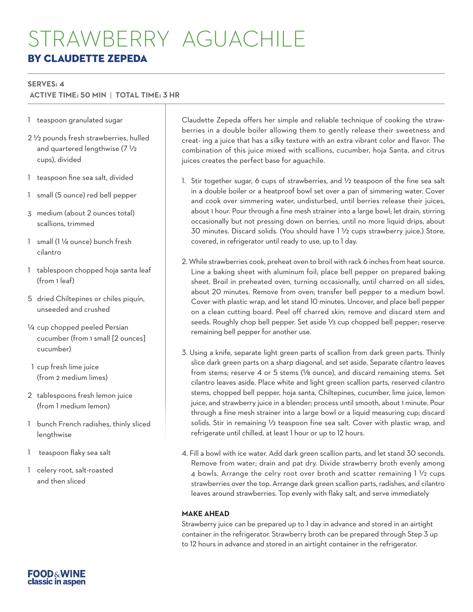## STRAWBERRY AGUACHILE BY CLAUDETTE ZEPEDA

#### **SERVES: 4**

 **ACTIVE TIME: 50 MIN** | **TOTAL TIME: 3 HR**

- 1 teaspoon granulated sugar
- 2 1/2 pounds fresh strawberries, hulled and quartered lengthwise (7 1/2 cups), divided
- 1 teaspoon fine sea salt, divided
- 1 small (5 ounce) red bell pepper
- 3 medium (about 2 ounces total) scallions, trimmed
- 1 small (1 1/4 ounce) bunch fresh cilantro
- 1 tablespoon chopped hoja santa leaf (from 1 leaf)
- 5 dried Chiltepines or chiles piquín, unseeded and crushed
- 1/4 cup chopped peeled Persian cucumber (from 1 small [2 ounces] cucumber)
- $1/2$  cup fresh lime juice (from 2 medium limes)
- 2 tablespoons fresh lemon juice (from 1 medium lemon)
- 1 bunch French radishes, thinly sliced lengthwise
- 1 teaspoon flaky sea salt
- 1 celery root, salt-roasted and then sliced

Claudette Zepeda offers her simple and reliable technique of cooking the strawberries in a double boiler allowing them to gently release their sweetness and creat- ing a juice that has a silky texture with an extra vibrant color and flavor. The combination of this juice mixed with scallions, cucumber, hoja Santa, and citrus juices creates the perfect base for aguachile.

- 1. Stir together sugar, 6 cups of strawberries, and  $\frac{1}{2}$  teaspoon of the fine sea salt in a double boiler or a heatproof bowl set over a pan of simmering water. Cover and cook over simmering water, undisturbed, until berries release their juices, about 1 hour. Pour through a fine mesh strainer into a large bowl; let drain, stirring occasionally but not pressing down on berries, until no more liquid drips, about 30 minutes. Discard solids. (You should have 1 1/2 cups strawberry juice.) Store, covered, in refrigerator until ready to use, up to 1 day.
- 2. While strawberries cook, preheat oven to broil with rack 6 inches from heat source. Line a baking sheet with aluminum foil; place bell pepper on prepared baking sheet. Broil in preheated oven, turning occasionally, until charred on all sides, about 20 minutes. Remove from oven; transfer bell pepper to a medium bowl. Cover with plastic wrap, and let stand 10 minutes. Uncover, and place bell pepper on a clean cutting board. Peel off charred skin; remove and discard stem and seeds. Roughly chop bell pepper. Set aside  $\frac{1}{3}$  cup chopped bell pepper; reserve remaining bell pepper for another use.
- 3. Using a knife, separate light green parts of scallion from dark green parts. Thinly slice dark green parts on a sharp diagonal, and set aside. Separate cilantro leaves from stems; reserve 4 or 5 stems (1/8 ounce), and discard remaining stems. Set cilantro leaves aside. Place white and light green scallion parts, reserved cilantro stems, chopped bell pepper, hoja santa, Chiltepines, cucumber, lime juice, lemon juice, and strawberry juice in a blender; process until smooth, about 1 minute. Pour through a fine mesh strainer into a large bowl or a liquid measuring cup; discard solids. Stir in remaining 1/2 teaspoon fine sea salt. Cover with plastic wrap, and refrigerate until chilled, at least 1 hour or up to 12 hours.
- 4. Fill a bowl with ice water. Add dark green scallion parts, and let stand 30 seconds. Remove from water; drain and pat dry. Divide strawberry broth evenly among 4 bowls. Arrange the celry root over broth and scatter remaining 1 1/2 cups strawberries over the top. Arrange dark green scallion parts, radishes, and cilantro leaves around strawberries. Top evenly with flaky salt, and serve immediately

#### **MAKE AHEAD**

Strawberry juice can be prepared up to 1 day in advance and stored in an airtight container in the refrigerator. Strawberry broth can be prepared through Step 3 up to 12 hours in advance and stored in an airtight container in the refrigerator.

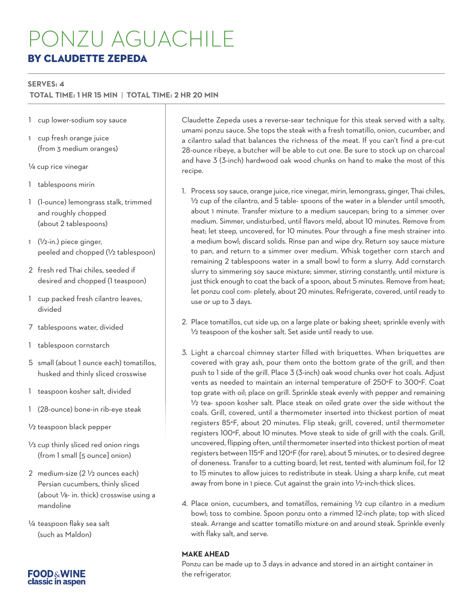# PONZU AGUACHILE BY CLAUDETTE ZEPEDA

#### **SERVES: 4**

#### **TOTAL TIME: 1 HR 15 MIN** | **TOTAL TIME: 2 HR 20 MIN**

- 1 cup lower-sodium soy sauce
- 1 cup fresh orange juice (from 3 medium oranges)
- 1/4 cup rice vinegar
- 1 tablespoons mirin
- 1 (1-ounce) lemongrass stalk, trimmed and roughly chopped (about 2 tablespoons)
- 1 (1/2-in.) piece ginger, peeled and chopped (1/2 tablespoon)
- 2 fresh red Thai chiles, seeded if desired and chopped (1 teaspoon)
- 1 cup packed fresh cilantro leaves, divided
- 7 tablespoons water, divided
- 1 tablespoon cornstarch
- 5 small (about 1 ounce each) tomatillos, husked and thinly sliced crosswise
- 1 teaspoon kosher salt, divided
- 1 (28-ounce) bone-in rib-eye steak
- 1/2 teaspoon black pepper
- V<sub>3</sub> cup thinly sliced red onion rings (from 1 small [5 ounce] onion)
- 2 medium-size (2 1/2 ounces each) Persian cucumbers, thinly sliced (about 1/8- in. thick) crosswise using a mandoline
- 1/4 teaspoon flaky sea salt (such as Maldon)

Claudette Zepeda uses a reverse-sear technique for this steak served with a salty, umami ponzu sauce. She tops the steak with a fresh tomatillo, onion, cucumber, and a cilantro salad that balances the richness of the meat. If you can't find a pre-cut 28-ounce ribeye, a butcher will be able to cut one. Be sure to stock up on charcoal and have 3 (3-inch) hardwood oak wood chunks on hand to make the most of this recipe.

- 1. Process soy sauce, orange juice, rice vinegar, mirin, lemongrass, ginger, Thai chiles, 1/2 cup of the cilantro, and 5 table- spoons of the water in a blender until smooth, about 1 minute. Transfer mixture to a medium saucepan; bring to a simmer over medium. Simmer, undisturbed, until flavors meld, about 10 minutes. Remove from heat; let steep, uncovered, for 10 minutes. Pour through a fine mesh strainer into a medium bowl; discard solids. Rinse pan and wipe dry. Return soy sauce mixture to pan, and return to a simmer over medium. Whisk together corn starch and remaining 2 tablespoons water in a small bowl to form a slurry. Add cornstarch slurry to simmering soy sauce mixture; simmer, stirring constantly, until mixture is just thick enough to coat the back of a spoon, about 5 minutes. Remove from heat; let ponzu cool com- pletely, about 20 minutes. Refrigerate, covered, until ready to use or up to 3 days.
- 2. Place tomatillos, cut side up, on a large plate or baking sheet; sprinkle evenly with 1/2 teaspoon of the kosher salt. Set aside until ready to use.
- 3. Light a charcoal chimney starter filled with briquettes. When briquettes are covered with gray ash, pour them onto the bottom grate of the grill, and then push to 1 side of the grill. Place 3 (3-inch) oak wood chunks over hot coals. Adjust vents as needed to maintain an internal temperature of 250°F to 300°F. Coat top grate with oil; place on grill. Sprinkle steak evenly with pepper and remaining 1/2 tea- spoon kosher salt. Place steak on oiled grate over the side without the coals. Grill, covered, until a thermometer inserted into thickest portion of meat registers 85°F, about 20 minutes. Flip steak; grill, covered, until thermometer registers 100°F, about 10 minutes. Move steak to side of grill with the coals. Grill, uncovered, flipping often, until thermometer inserted into thickest portion of meat registers between 115°F and 120°F (for rare), about 5 minutes, or to desired degree of doneness. Transfer to a cutting board; let rest, tented with aluminum foil, for 12 to 15 minutes to allow juices to redistribute in steak. Using a sharp knife, cut meat away from bone in 1 piece. Cut against the grain into 1/2-inch-thick slices.
- 4. Place onion, cucumbers, and tomatillos, remaining  $\frac{1}{2}$  cup cilantro in a medium bowl; toss to combine. Spoon ponzu onto a rimmed 12-inch plate; top with sliced steak. Arrange and scatter tomatillo mixture on and around steak. Sprinkle evenly with flaky salt, and serve.

#### **MAKE AHEAD**

Ponzu can be made up to 3 days in advance and stored in an airtight container in the refrigerator.

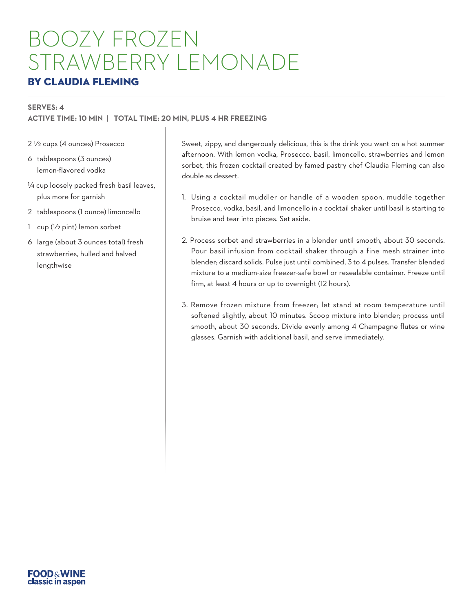# BOOZY FROZEN STRAWBERRY LEMONADE

## BY CLAUDIA FLEMING

#### **SERVES: 4**

#### **ACTIVE TIME: 10 MIN** | **TOTAL TIME: 20 MIN, PLUS 4 HR FREEZING**

2 1/2 cups (4 ounces) Prosecco

- 6 tablespoons (3 ounces) lemon-flavored vodka
- 1/4 cup loosely packed fresh basil leaves, plus more for garnish
- 2 tablespoons (1 ounce) limoncello
- 1 cup (1/2 pint) lemon sorbet
- 6 large (about 3 ounces total) fresh strawberries, hulled and halved lengthwise

Sweet, zippy, and dangerously delicious, this is the drink you want on a hot summer afternoon. With lemon vodka, Prosecco, basil, limoncello, strawberries and lemon sorbet, this frozen cocktail created by famed pastry chef Claudia Fleming can also double as dessert.

- 1. Using a cocktail muddler or handle of a wooden spoon, muddle together Prosecco, vodka, basil, and limoncello in a cocktail shaker until basil is starting to bruise and tear into pieces. Set aside.
- 2. Process sorbet and strawberries in a blender until smooth, about 30 seconds. Pour basil infusion from cocktail shaker through a fine mesh strainer into blender; discard solids. Pulse just until combined, 3 to 4 pulses. Transfer blended mixture to a medium-size freezer-safe bowl or resealable container. Freeze until firm, at least 4 hours or up to overnight (12 hours).
- 3. Remove frozen mixture from freezer; let stand at room temperature until softened slightly, about 10 minutes. Scoop mixture into blender; process until smooth, about 30 seconds. Divide evenly among 4 Champagne flutes or wine glasses. Garnish with additional basil, and serve immediately.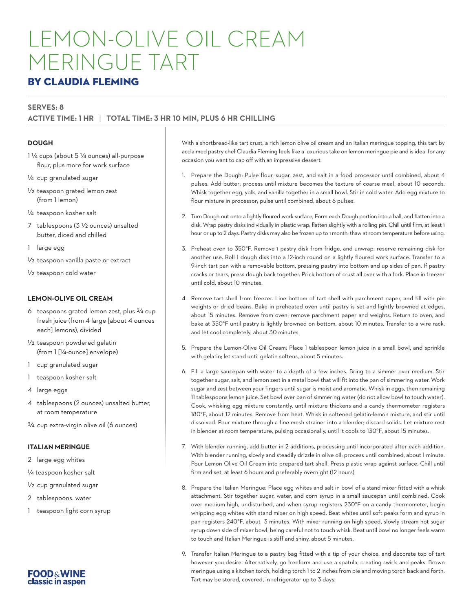# LEMON-OLIVE OIL CREAM MERINGUE TART

### BY CLAUDIA FLEMING

#### **SERVES: 8**

#### **ACTIVE TIME: 1 HR** | **TOTAL TIME: 3 HR 10 MIN, PLUS 6 HR CHILLING**

#### **DOUGH**

- 1 1/4 cups (about 5 1/4 ounces) all-purpose flour, plus more for work surface
- 1/4 cup granulated sugar
- 1/2 teaspoon grated lemon zest (from 1 lemon)
- 1/4 teaspoon kosher salt
- 7 tablespoons (3 1/2 ounces) unsalted butter, diced and chilled
- 1 large egg
- 1/2 teaspoon vanilla paste or extract
- 1/2 teaspoon cold water

#### **LEMON-OLIVE OIL CREAM**

- 6 teaspoons grated lemon zest, plus 3/4 cup fresh juice (from 4 large [about 4 ounces each] lemons), divided
- 1/2 teaspoon powdered gelatin (from 1 [1/4-ounce] envelope)
- 1 cup granulated sugar
- 1 teaspoon kosher salt
- 4 large eggs
- 4 tablespoons (2 ounces) unsalted butter, at room temperature
- 3/4 cup extra-virgin olive oil (6 ounces)

#### **ITALIAN MERINGUE**

- 2 large egg whites
- 1/4 teaspoon kosher salt
- 1/2 cup granulated sugar
- 2 tablespoons. water
- 1 teaspoon light corn syrup



With a shortbread-like tart crust, a rich lemon olive oil cream and an Italian meringue topping, this tart by acclaimed pastry chef Claudia Fleming feels like a luxurious take on lemon meringue pie and is ideal for any occasion you want to cap off with an impressive dessert.

- 1. Prepare the Dough: Pulse flour, sugar, zest, and salt in a food processor until combined, about 4 pulses. Add butter; process until mixture becomes the texture of coarse meal, about 10 seconds. Whisk together egg, yolk, and vanilla together in a small bowl. Stir in cold water. Add egg mixture to flour mixture in processor; pulse until combined, about 6 pulses.
- 2. Turn Dough out onto a lightly floured work surface, Form each Dough portion into a ball, and flatten into a disk. Wrap pastry disks individually in plastic wrap; flatten slightly with a rolling pin. Chill until firm, at least 1 hour or up to 2 days. Pastry disks may also be frozen up to 1 month; thaw at room temperature before using.
- 3. Preheat oven to 350°F. Remove 1 pastry disk from fridge, and unwrap; reserve remaining disk for another use. Roll 1 dough disk into a 12-inch round on a lightly floured work surface. Transfer to a 9-inch tart pan with a removable bottom, pressing pastry into bottom and up sides of pan. If pastry cracks or tears, press dough back together. Prick bottom of crust all over with a fork. Place in freezer until cold, about 10 minutes.
- 4. Remove tart shell from freezer. Line bottom of tart shell with parchment paper, and fill with pie weights or dried beans. Bake in preheated oven until pastry is set and lightly browned at edges, about 15 minutes. Remove from oven; remove parchment paper and weights. Return to oven, and bake at 350°F until pastry is lightly browned on bottom, about 10 minutes. Transfer to a wire rack, and let cool completely, about 30 minutes.
- 5. Prepare the Lemon-Olive Oil Cream: Place 1 tablespoon lemon juice in a small bowl, and sprinkle with gelatin; let stand until gelatin softens, about 5 minutes.
- 6. Fill a large saucepan with water to a depth of a few inches. Bring to a simmer over medium. Stir together sugar, salt, and lemon zest in a metal bowl that will fit into the pan of simmering water. Work sugar and zest between your fingers until sugar is moist and aromatic. Whisk in eggs, then remaining 11 tablespoons lemon juice. Set bowl over pan of simmering water (do not allow bowl to touch water). Cook, whisking egg mixture constantly, until mixture thickens and a candy thermometer registers 180°F, about 12 minutes. Remove from heat. Whisk in softened gelatin-lemon mixture, and stir until dissolved. Pour mixture through a fine mesh strainer into a blender; discard solids. Let mixture rest in blender at room temperature, pulsing occasionally, until it cools to 130°F, about 15 minutes.
- 7. With blender running, add butter in 2 additions, processing until incorporated after each addition. With blender running, slowly and steadily drizzle in olive oil; process until combined, about 1 minute. Pour Lemon-Olive Oil Cream into prepared tart shell. Press plastic wrap against surface. Chill until firm and set, at least 6 hours and preferably overnight (12 hours).
- 8. Prepare the Italian Meringue: Place egg whites and salt in bowl of a stand mixer fitted with a whisk attachment. Stir together sugar, water, and corn syrup in a small saucepan until combined. Cook over medium-high, undisturbed, and when syrup registers 230°F on a candy thermometer, begin whipping egg whites with stand mixer on high speed. Beat whites until soft peaks form and syrup in pan registers 240°F, about 3 minutes. With mixer running on high speed, slowly stream hot sugar syrup down side of mixer bowl, being careful not to touch whisk. Beat until bowl no longer feels warm to touch and Italian Meringue is stiff and shiny, about 5 minutes.
- 9. Transfer Italian Meringue to a pastry bag fitted with a tip of your choice, and decorate top of tart however you desire. Alternatively, go freeform and use a spatula, creating swirls and peaks. Brown meringue using a kitchen torch, holding torch 1 to 2 inches from pie and moving torch back and forth. Tart may be stored, covered, in refrigerator up to 3 days.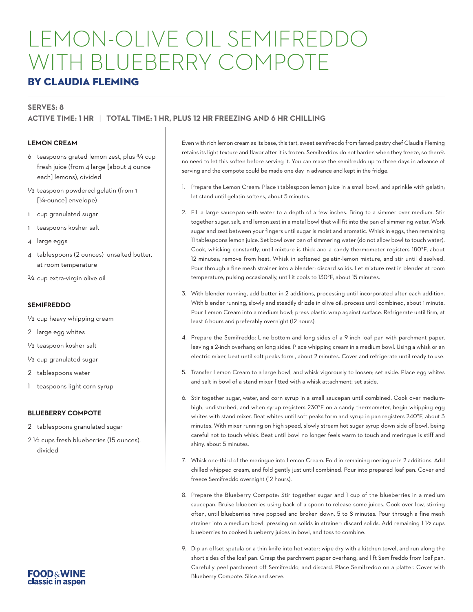# LEMON-OLIVE OIL SEMIFREDDO WITH BLUEBERRY COMPOTE

### BY CLAUDIA FLEMING

#### **SERVES: 8**

#### **ACTIVE TIME: 1 HR** | **TOTAL TIME: 1 HR, PLUS 12 HR FREEZING AND 6 HR CHILLING**

#### **LEMON CREAM**

- 6 teaspoons grated lemon zest, plus 3/4 cup fresh juice (from 4 large [about 4 ounce each] lemons), divided
- 1/2 teaspoon powdered gelatin (from 1 [1/4-ounce] envelope)
- 1 cup granulated sugar
- 1 teaspoons kosher salt
- 4 large eggs
- 4 tablespoons (2 ounces) unsalted butter, at room temperature
- 3/4 cup extra-virgin olive oil

#### **SEMIFREDDO**

- 1/2 cup heavy whipping cream
- 2 large egg whites
- 1/2 teaspoon kosher salt
- 1/2 cup granulated sugar
- 2 tablespoons water
- 1 teaspoons light corn syrup

#### **BLUEBERRY COMPOTE**

- 2 tablespoons granulated sugar
- 2 1/2 cups fresh blueberries (15 ounces), divided

Even with rich lemon cream as its base, this tart, sweet semifreddo from famed pastry chef Claudia Fleming retains its light texture and flavor after it is frozen. Semifreddos do not harden when they freeze, so there's no need to let this soften before serving it. You can make the semifreddo up to three days in advance of serving and the compote could be made one day in advance and kept in the fridge.

- 1. Prepare the Lemon Cream: Place 1 tablespoon lemon juice in a small bowl, and sprinkle with gelatin; let stand until gelatin softens, about 5 minutes.
- 2. Fill a large saucepan with water to a depth of a few inches. Bring to a simmer over medium. Stir together sugar, salt, and lemon zest in a metal bowl that will fit into the pan of simmering water. Work sugar and zest between your fingers until sugar is moist and aromatic. Whisk in eggs, then remaining 11 tablespoons lemon juice. Set bowl over pan of simmering water (do not allow bowl to touch water). Cook, whisking constantly, until mixture is thick and a candy thermometer registers 180°F, about 12 minutes; remove from heat. Whisk in softened gelatin-lemon mixture, and stir until dissolved. Pour through a fine mesh strainer into a blender; discard solids. Let mixture rest in blender at room temperature, pulsing occasionally, until it cools to 130°F, about 15 minutes.
- 3. With blender running, add butter in 2 additions, processing until incorporated after each addition. With blender running, slowly and steadily drizzle in olive oil; process until combined, about 1 minute. Pour Lemon Cream into a medium bowl; press plastic wrap against surface. Refrigerate until firm, at least 6 hours and preferably overnight (12 hours).
- 4. Prepare the Semifreddo: Line bottom and long sides of a 9-inch loaf pan with parchment paper, leaving a 2-inch overhang on long sides. Place whipping cream in a medium bowl. Using a whisk or an electric mixer, beat until soft peaks form , about 2 minutes. Cover and refrigerate until ready to use.
- 5. Transfer Lemon Cream to a large bowl, and whisk vigorously to loosen; set aside. Place egg whites and salt in bowl of a stand mixer fitted with a whisk attachment; set aside.
- 6. Stir together sugar, water, and corn syrup in a small saucepan until combined. Cook over mediumhigh, undisturbed, and when syrup registers 230°F on a candy thermometer, begin whipping egg whites with stand mixer. Beat whites until soft peaks form and syrup in pan registers 240°F, about 3 minutes. With mixer running on high speed, slowly stream hot sugar syrup down side of bowl, being careful not to touch whisk. Beat until bowl no longer feels warm to touch and meringue is stiff and shiny, about 5 minutes.
- 7. Whisk one-third of the meringue into Lemon Cream. Fold in remaining meringue in 2 additions. Add chilled whipped cream, and fold gently just until combined. Pour into prepared loaf pan. Cover and freeze Semifreddo overnight (12 hours).
- 8. Prepare the Blueberry Compote: Stir together sugar and 1 cup of the blueberries in a medium saucepan. Bruise blueberries using back of a spoon to release some juices. Cook over low, stirring often, until blueberries have popped and broken down, 5 to 8 minutes. Pour through a fine mesh strainer into a medium bowl, pressing on solids in strainer; discard solids. Add remaining 1 1/2 cups blueberries to cooked blueberry juices in bowl, and toss to combine.
- 9. Dip an offset spatula or a thin knife into hot water; wipe dry with a kitchen towel, and run along the short sides of the loaf pan. Grasp the parchment paper overhang, and lift Semifreddo from loaf pan. Carefully peel parchment off Semifreddo, and discard. Place Semifreddo on a platter. Cover with Blueberry Compote. Slice and serve.

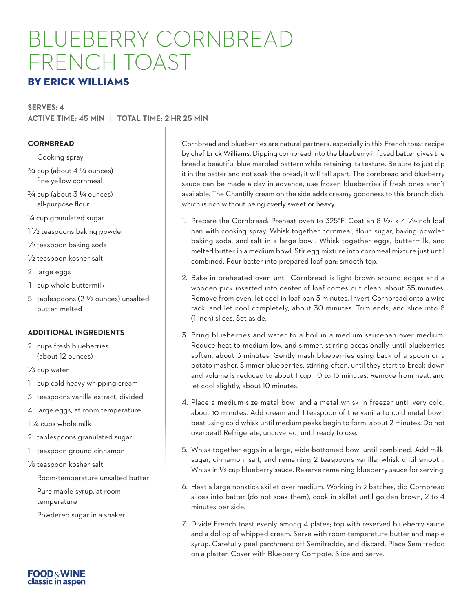# BLUEBERRY CORNBREAD FRENCH TOAST

### BY ERICK WILLIAMS

#### **SERVES: 4 ACTIVE TIME: 45 MIN** | **TOTAL TIME: 2 HR 25 MIN**

#### **CORNBREAD**

Cooking spray

- $3/4$  cup (about 4  $\frac{1}{4}$  ounces) fine yellow cornmeal
- $3/4$  cup (about  $3\frac{1}{4}$  ounces) all-purpose flour
- 1/4 cup granulated sugar
- 1 1/2 teaspoons baking powder
- 1/2 teaspoon baking soda
- 1/2 teaspoon kosher salt
- 2 large eggs
- 1 cup whole buttermilk
- 5 tablespoons (2 1/2 ounces) unsalted butter, melted

#### **ADDITIONAL INGREDIENTS**

2 cups fresh blueberries (about 12 ounces)

1/3 cup water

- 1 cup cold heavy whipping cream
- 3 teaspoons vanilla extract, divided
- 4 large eggs, at room temperature

1 1/4 cups whole milk

- 2 tablespoons granulated sugar
- 1 teaspoon ground cinnamon
- 1/8 teaspoon kosher salt
	- Room-temperature unsalted butter

Pure maple syrup, at room temperature

Powdered sugar in a shaker

Cornbread and blueberries are natural partners, especially in this French toast recipe by chef Erick Williams. Dipping cornbread into the blueberry-infused batter gives the bread a beautiful blue marbled pattern while retaining its texture. Be sure to just dip it in the batter and not soak the bread; it will fall apart. The cornbread and blueberry sauce can be made a day in advance; use frozen blueberries if fresh ones aren't available. The Chantilly cream on the side adds creamy goodness to this brunch dish, which is rich without being overly sweet or heavy.

- 1. Prepare the Cornbread: Preheat oven to 325°F. Coat an 8 1/2- x 4 1/2-inch loaf pan with cooking spray. Whisk together cornmeal, flour, sugar, baking powder, baking soda, and salt in a large bowl. Whisk together eggs, buttermilk, and melted butter in a medium bowl. Stir egg mixture into cornmeal mixture just until combined. Pour batter into prepared loaf pan; smooth top.
- 2. Bake in preheated oven until Cornbread is light brown around edges and a wooden pick inserted into center of loaf comes out clean, about 35 minutes. Remove from oven; let cool in loaf pan 5 minutes. Invert Cornbread onto a wire rack, and let cool completely, about 30 minutes. Trim ends, and slice into 8 (1-inch) slices. Set aside.
- 3. Bring blueberries and water to a boil in a medium saucepan over medium. Reduce heat to medium-low, and simmer, stirring occasionally, until blueberries soften, about 3 minutes. Gently mash blueberries using back of a spoon or a potato masher. Simmer blueberries, stirring often, until they start to break down and volume is reduced to about 1 cup, 10 to 15 minutes. Remove from heat, and let cool slightly, about 10 minutes.
- 4. Place a medium-size metal bowl and a metal whisk in freezer until very cold, about 10 minutes. Add cream and 1 teaspoon of the vanilla to cold metal bowl; beat using cold whisk until medium peaks begin to form, about 2 minutes. Do not overbeat! Refrigerate, uncovered, until ready to use.
- 5. Whisk together eggs in a large, wide-bottomed bowl until combined. Add milk, sugar, cinnamon, salt, and remaining 2 teaspoons vanilla; whisk until smooth. Whisk in 1/2 cup blueberry sauce. Reserve remaining blueberry sauce for serving.
- 6. Heat a large nonstick skillet over medium. Working in 2 batches, dip Cornbread slices into batter (do not soak them), cook in skillet until golden brown, 2 to 4 minutes per side.
- 7. Divide French toast evenly among 4 plates; top with reserved blueberry sauce and a dollop of whipped cream. Serve with room-temperature butter and maple syrup. Carefully peel parchment off Semifreddo, and discard. Place Semifreddo on a platter. Cover with Blueberry Compote. Slice and serve.

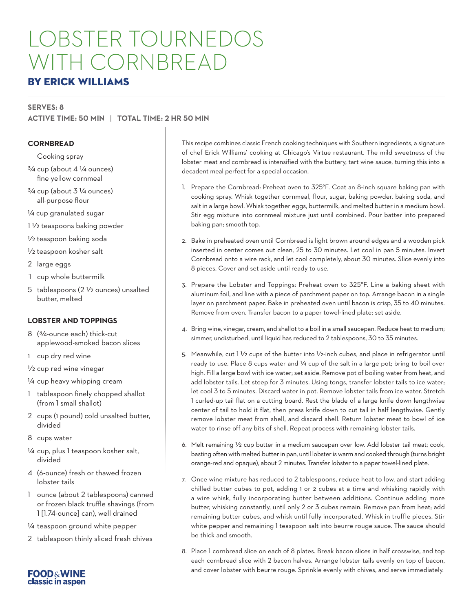# LOBSTER TOURNEDOS WITH CORNBREAD

### BY ERICK WILLIAMS

#### **SERVES: 8 ACTIVE TIME: 50 MIN** | **TOTAL TIME: 2 HR 50 MIN**

#### **CORNBREAD**

Cooking spray

- $3/4$  cup (about 4  $\frac{1}{4}$  ounces) fine yellow cornmeal
- $3/4$  cup (about  $3\frac{1}{4}$  ounces) all-purpose flour

1/4 cup granulated sugar

1 1/2 teaspoons baking powder

1/2 teaspoon baking soda

- 1/2 teaspoon kosher salt
- 2 large eggs
- 1 cup whole buttermilk
- 5 tablespoons (2 1/2 ounces) unsalted butter, melted

#### **LOBSTER AND TOPPINGS**

- 8 (3/4-ounce each) thick-cut applewood-smoked bacon slices
- 1 cup dry red wine
- 1/2 cup red wine vinegar
- 1/4 cup heavy whipping cream
- 1 tablespoon finely chopped shallot (from 1 small shallot)
- 2 cups (1 pound) cold unsalted butter, divided
- 8 cups water
- 1/4 cup, plus 1 teaspoon kosher salt, divided
- 4 (6-ounce) fresh or thawed frozen lobster tails
- 1 ounce (about 2 tablespoons) canned or frozen black truffle shavings (from 1 [1.74-ounce] can), well drained
- 1/4 teaspoon ground white pepper
- 2 tablespoon thinly sliced fresh chives

This recipe combines classic French cooking techniques with Southern ingredients, a signature of chef Erick Williams' cooking at Chicago's Virtue restaurant. The mild sweetness of the lobster meat and cornbread is intensified with the buttery, tart wine sauce, turning this into a decadent meal perfect for a special occasion.

- 1. Prepare the Cornbread: Preheat oven to 325°F. Coat an 8-inch square baking pan with cooking spray. Whisk together cornmeal, flour, sugar, baking powder, baking soda, and salt in a large bowl. Whisk together eggs, buttermilk, and melted butter in a medium bowl. Stir egg mixture into cornmeal mixture just until combined. Pour batter into prepared baking pan; smooth top.
- 2. Bake in preheated oven until Cornbread is light brown around edges and a wooden pick inserted in center comes out clean, 25 to 30 minutes. Let cool in pan 5 minutes. Invert Cornbread onto a wire rack, and let cool completely, about 30 minutes. Slice evenly into 8 pieces. Cover and set aside until ready to use.
- 3. Prepare the Lobster and Toppings: Preheat oven to 325°F. Line a baking sheet with aluminum foil, and line with a piece of parchment paper on top. Arrange bacon in a single layer on parchment paper. Bake in preheated oven until bacon is crisp, 35 to 40 minutes. Remove from oven. Transfer bacon to a paper towel-lined plate; set aside.
- 4. Bring wine, vinegar, cream, and shallot to a boil in a small saucepan. Reduce heat to medium; simmer, undisturbed, until liquid has reduced to 2 tablespoons, 30 to 35 minutes.
- 5. Meanwhile, cut  $1\frac{1}{2}$  cups of the butter into  $1/2$ -inch cubes, and place in refrigerator until ready to use. Place 8 cups water and 1/4 cup of the salt in a large pot; bring to boil over high. Fill a large bowl with ice water; set aside. Remove pot of boiling water from heat, and add lobster tails. Let steep for 3 minutes. Using tongs, transfer lobster tails to ice water; let cool 3 to 5 minutes. Discard water in pot. Remove lobster tails from ice water. Stretch 1 curled-up tail flat on a cutting board. Rest the blade of a large knife down lengthwise center of tail to hold it flat, then press knife down to cut tail in half lengthwise. Gently remove lobster meat from shell, and discard shell. Return lobster meat to bowl of ice water to rinse off any bits of shell. Repeat process with remaining lobster tails.
- 6. Melt remaining  $V_2$  cup butter in a medium saucepan over low. Add lobster tail meat; cook, basting often with melted butter in pan, until lobster is warm and cooked through (turns bright orange-red and opaque), about 2 minutes. Transfer lobster to a paper towel-lined plate.
- 7. Once wine mixture has reduced to 2 tablespoons, reduce heat to low, and start adding chilled butter cubes to pot, adding 1 or 2 cubes at a time and whisking rapidly with a wire whisk, fully incorporating butter between additions. Continue adding more butter, whisking constantly, until only 2 or 3 cubes remain. Remove pan from heat; add remaining butter cubes, and whisk until fully incorporated. Whisk in truffle pieces. Stir white pepper and remaining 1 teaspoon salt into beurre rouge sauce. The sauce should be thick and smooth.
- 8. Place 1 cornbread slice on each of 8 plates. Break bacon slices in half crosswise, and top each cornbread slice with 2 bacon halves. Arrange lobster tails evenly on top of bacon, and cover lobster with beurre rouge. Sprinkle evenly with chives, and serve immediately.

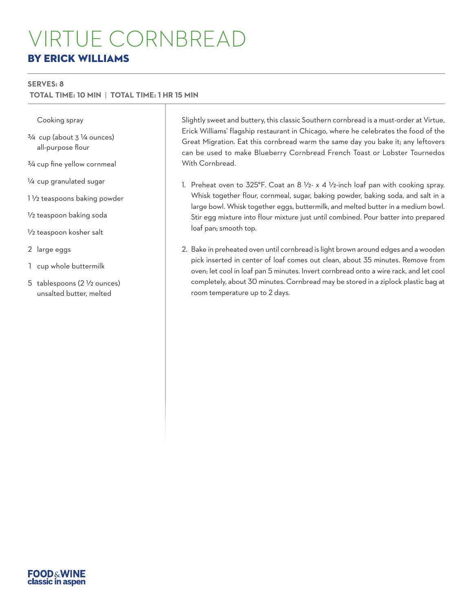# VIRTUE CORNBREAD BY ERICK WILLIAMS

#### **SERVES: 8**

 **TOTAL TIME: 10 MIN** | **TOTAL TIME: 1 HR 15 MIN**

#### Cooking spray

- $3/4$  cup (about  $3\frac{1}{4}$  ounces) all-purpose flour
- 3/4 cup fine yellow cornmeal
- 1/4 cup granulated sugar
- 1 1/2 teaspoons baking powder
- 1/2 teaspoon baking soda
- 1/2 teaspoon kosher salt
- 2 large eggs
- 1 cup whole buttermilk
- 5 tablespoons (2 1/2 ounces) unsalted butter, melted

Slightly sweet and buttery, this classic Southern cornbread is a must-order at Virtue, Erick Williams' flagship restaurant in Chicago, where he celebrates the food of the Great Migration. Eat this cornbread warm the same day you bake it; any leftovers can be used to make Blueberry Cornbread French Toast or Lobster Tournedos With Cornbread.

- 1. Preheat oven to 325°F. Coat an 8 1/2- x 4 1/2-inch loaf pan with cooking spray. Whisk together flour, cornmeal, sugar, baking powder, baking soda, and salt in a large bowl. Whisk together eggs, buttermilk, and melted butter in a medium bowl. Stir egg mixture into flour mixture just until combined. Pour batter into prepared loaf pan; smooth top.
- 2. Bake in preheated oven until cornbread is light brown around edges and a wooden pick inserted in center of loaf comes out clean, about 35 minutes. Remove from oven; let cool in loaf pan 5 minutes. Invert cornbread onto a wire rack, and let cool completely, about 30 minutes. Cornbread may be stored in a ziplock plastic bag at room temperature up to 2 days.

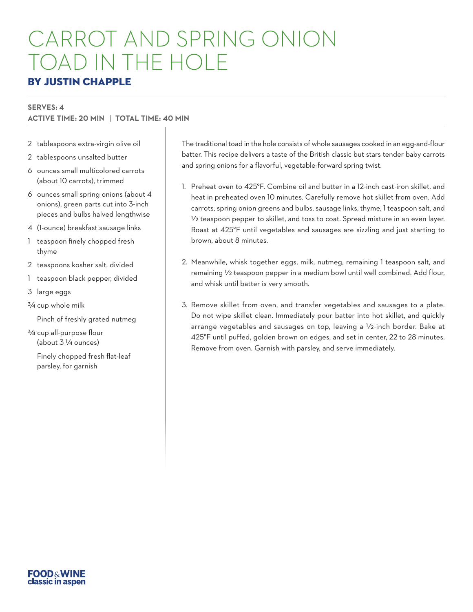# CARROT AND SPRING ONION TOAD IN THE HOLE

### BY JUSTIN CHAPPLE

#### **SERVES: 4**

## **ACTIVE TIME: 20 MIN** | **TOTAL TIME: 40 MIN**

- 2 tablespoons extra-virgin olive oil
- 2 tablespoons unsalted butter
- 6 ounces small multicolored carrots (about 10 carrots), trimmed
- 6 ounces small spring onions (about 4 onions), green parts cut into 3-inch pieces and bulbs halved lengthwise
- 4 (1-ounce) breakfast sausage links
- 1 teaspoon finely chopped fresh thyme
- 2 teaspoons kosher salt, divided
- 1 teaspoon black pepper, divided
- 3 large eggs
- 3/4 cup whole milk
	- Pinch of freshly grated nutmeg
- 3/4 cup all-purpose flour (about 3 1/4 ounces)
	- Finely chopped fresh flat-leaf parsley, for garnish

The traditional toad in the hole consists of whole sausages cooked in an egg-and-flour batter. This recipe delivers a taste of the British classic but stars tender baby carrots and spring onions for a flavorful, vegetable-forward spring twist.

- 1. Preheat oven to 425°F. Combine oil and butter in a 12-inch cast-iron skillet, and heat in preheated oven 10 minutes. Carefully remove hot skillet from oven. Add carrots, spring onion greens and bulbs, sausage links, thyme, 1 teaspoon salt, and 1/2 teaspoon pepper to skillet, and toss to coat. Spread mixture in an even layer. Roast at 425°F until vegetables and sausages are sizzling and just starting to brown, about 8 minutes.
- 2. Meanwhile, whisk together eggs, milk, nutmeg, remaining 1 teaspoon salt, and remaining  $\frac{1}{2}$  teaspoon pepper in a medium bowl until well combined. Add flour, and whisk until batter is very smooth.
- 3. Remove skillet from oven, and transfer vegetables and sausages to a plate. Do not wipe skillet clean. Immediately pour batter into hot skillet, and quickly arrange vegetables and sausages on top, leaving a 1/2-inch border. Bake at 425°F until puffed, golden brown on edges, and set in center, 22 to 28 minutes. Remove from oven. Garnish with parsley, and serve immediately.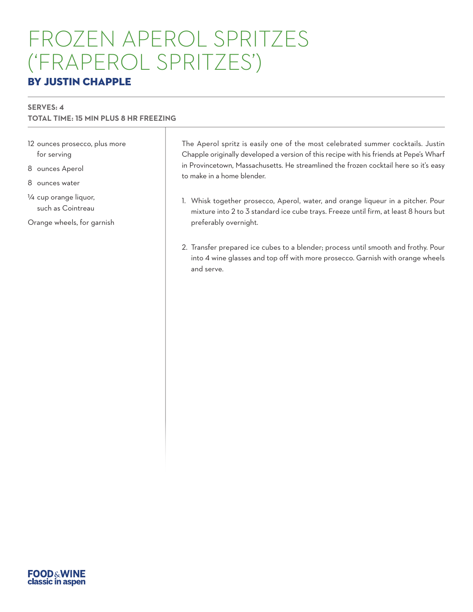# FROZEN APEROL SPRITZES ('FRAPEROL SPRITZES')

## BY JUSTIN CHAPPLE

#### **SERVES: 4**

### **TOTAL TIME: 15 MIN PLUS 8 HR FREEZING**

- 12 ounces prosecco, plus more for serving
- 8 ounces Aperol
- 8 ounces water
- 1/4 cup orange liquor, such as Cointreau
- Orange wheels, for garnish

The Aperol spritz is easily one of the most celebrated summer cocktails. Justin Chapple originally developed a version of this recipe with his friends at Pepe's Wharf in Provincetown, Massachusetts. He streamlined the frozen cocktail here so it's easy to make in a home blender.

- 1. Whisk together prosecco, Aperol, water, and orange liqueur in a pitcher. Pour mixture into 2 to 3 standard ice cube trays. Freeze until firm, at least 8 hours but preferably overnight.
- 2. Transfer prepared ice cubes to a blender; process until smooth and frothy. Pour into 4 wine glasses and top off with more prosecco. Garnish with orange wheels and serve.

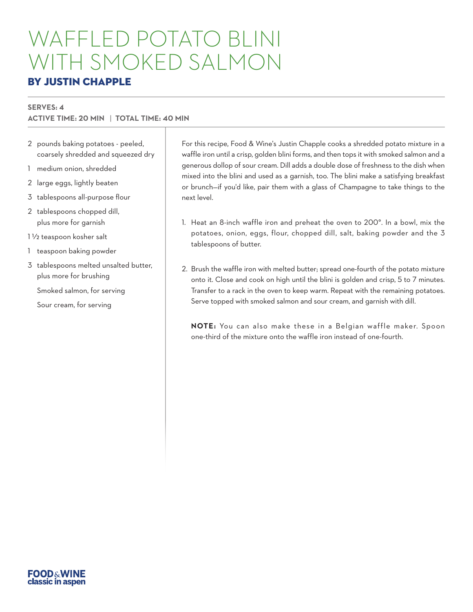# WAFFLED POTATO BLINI WITH SMOKED SALMON

### BY JUSTIN CHAPPLE

#### **SERVES: 4**

### **ACTIVE TIME: 20 MIN** | **TOTAL TIME: 40 MIN**

- 2 pounds baking potatoes peeled, coarsely shredded and squeezed dry
- 1 medium onion, shredded
- 2 large eggs, lightly beaten
- 3 tablespoons all-purpose flour
- 2 tablespoons chopped dill, plus more for garnish

1 1/2 teaspoon kosher salt

- 1 teaspoon baking powder
- 3 tablespoons melted unsalted butter, plus more for brushing

Smoked salmon, for serving

Sour cream, for serving

For this recipe, Food & Wine's Justin Chapple cooks a shredded potato mixture in a waffle iron until a crisp, golden blini forms, and then tops it with smoked salmon and a generous dollop of sour cream. Dill adds a double dose of freshness to the dish when mixed into the blini and used as a garnish, too. The blini make a satisfying breakfast or brunch—if you'd like, pair them with a glass of Champagne to take things to the next level.

- 1. Heat an 8-inch waffle iron and preheat the oven to 200°. In a bowl, mix the potatoes, onion, eggs, flour, chopped dill, salt, baking powder and the 3 tablespoons of butter.
- 2. Brush the waffle iron with melted butter; spread one-fourth of the potato mixture onto it. Close and cook on high until the blini is golden and crisp, 5 to 7 minutes. Transfer to a rack in the oven to keep warm. Repeat with the remaining potatoes. Serve topped with smoked salmon and sour cream, and garnish with dill.

**NOTE:** You can also make these in a Belgian waffle maker. Spoon one-third of the mixture onto the waffle iron instead of one-fourth.

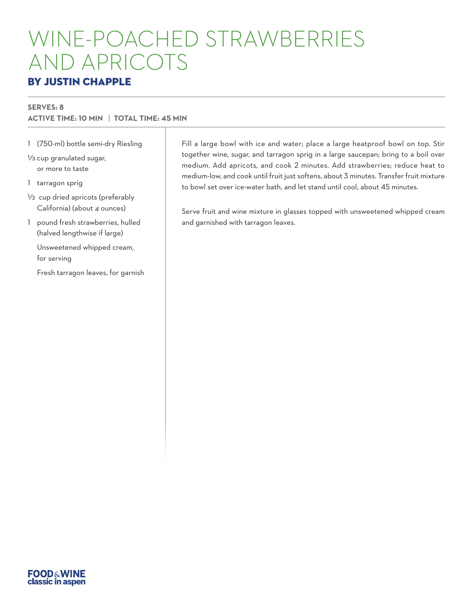# WINE-POACHED STRAWBERRIES AND APRICOTS

## BY JUSTIN CHAPPLE

#### **SERVES: 8**

### **ACTIVE TIME: 10 MIN** | **TOTAL TIME: 45 MIN**

- 1 (750-ml) bottle semi-dry Riesling
- 1/3 cup granulated sugar, or more to taste
- 1 tarragon sprig
- 1/2 cup dried apricots (preferably California) (about 4 ounces)
- 1 pound fresh strawberries, hulled (halved lengthwise if large)
	- Unsweetened whipped cream, for serving
	- Fresh tarragon leaves, for garnish

Fill a large bowl with ice and water; place a large heatproof bowl on top. Stir together wine, sugar, and tarragon sprig in a large saucepan; bring to a boil over medium. Add apricots, and cook 2 minutes. Add strawberries; reduce heat to medium-low, and cook until fruit just softens, about 3 minutes. Transfer fruit mixture to bowl set over ice-water bath, and let stand until cool, about 45 minutes.

Serve fruit and wine mixture in glasses topped with unsweetened whipped cream and garnished with tarragon leaves.

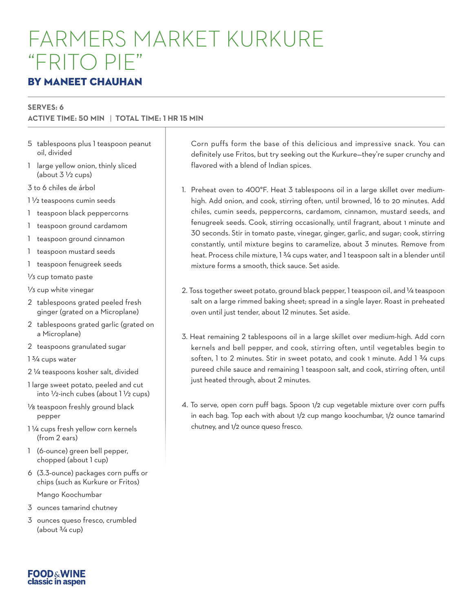# FARMERS MARKET KURKURE "FRITO PIE"

## BY MANEET CHAUHAN

#### **SERVES: 6**

### **ACTIVE TIME: 50 MIN** | **TOTAL TIME: 1 HR 15 MIN**

- 5 tablespoons plus 1 teaspoon peanut oil, divided
- 1 large yellow onion, thinly sliced (about  $3\frac{1}{2}$  cups)
- 3 to 6 chiles de árbol
- 1 1/2 teaspoons cumin seeds
- 1 teaspoon black peppercorns
- 1 teaspoon ground cardamom
- 1 teaspoon ground cinnamon
- 1 teaspoon mustard seeds
- 1 teaspoon fenugreek seeds

1/3 cup tomato paste

1/3 cup white vinegar

- 2 tablespoons grated peeled fresh ginger (grated on a Microplane)
- 2 tablespoons grated garlic (grated on a Microplane)
- 2 teaspoons granulated sugar

1 3/4 cups water

- 2 1/4 teaspoons kosher salt, divided
- 1 large sweet potato, peeled and cut into  $1/2$ -inch cubes (about 1 $1/2$  cups)
- 1/8 teaspoon freshly ground black pepper
- 1 1/4 cups fresh yellow corn kernels (from 2 ears)
- 1 (6-ounce) green bell pepper, chopped (about 1 cup)
- 6 (3.3-ounce) packages corn puffs or chips (such as Kurkure or Fritos)

Mango Koochumbar

- 3 ounces tamarind chutney
- 3 ounces queso fresco, crumbled (about  $\frac{3}{4}$  cup)

Corn puffs form the base of this delicious and impressive snack. You can definitely use Fritos, but try seeking out the Kurkure—they're super crunchy and flavored with a blend of Indian spices.

- 1. Preheat oven to 400°F. Heat 3 tablespoons oil in a large skillet over mediumhigh. Add onion, and cook, stirring often, until browned, 16 to 20 minutes. Add chiles, cumin seeds, peppercorns, cardamom, cinnamon, mustard seeds, and fenugreek seeds. Cook, stirring occasionally, until fragrant, about 1 minute and 30 seconds. Stir in tomato paste, vinegar, ginger, garlic, and sugar; cook, stirring constantly, until mixture begins to caramelize, about 3 minutes. Remove from heat. Process chile mixture, 1 3/4 cups water, and 1 teaspoon salt in a blender until mixture forms a smooth, thick sauce. Set aside.
- 2. Toss together sweet potato, ground black pepper, 1 teaspoon oil, and 1/4 teaspoon salt on a large rimmed baking sheet; spread in a single layer. Roast in preheated oven until just tender, about 12 minutes. Set aside.
- 3. Heat remaining 2 tablespoons oil in a large skillet over medium-high. Add corn kernels and bell pepper, and cook, stirring often, until vegetables begin to soften, 1 to 2 minutes. Stir in sweet potato, and cook 1 minute. Add 1 3/4 cups pureed chile sauce and remaining 1 teaspoon salt, and cook, stirring often, until just heated through, about 2 minutes.
- 4. To serve, open corn puff bags. Spoon 1/2 cup vegetable mixture over corn puffs in each bag. Top each with about 1/2 cup mango koochumbar, 1/2 ounce tamarind chutney, and 1/2 ounce queso fresco.

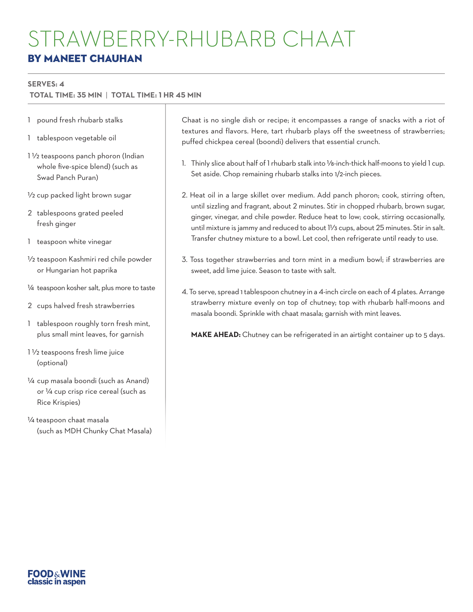#### **SERVES: 4**

 **TOTAL TIME: 35 MIN** | **TOTAL TIME: 1 HR 45 MIN**

- 1 pound fresh rhubarb stalks
- 1 tablespoon vegetable oil
- 1 1/2 teaspoons panch phoron (Indian whole five-spice blend) (such as Swad Panch Puran)
- 1/2 cup packed light brown sugar
- 2 tablespoons grated peeled fresh ginger
- 1 teaspoon white vinegar
- 1/2 teaspoon Kashmiri red chile powder or Hungarian hot paprika
- 1/4 teaspoon kosher salt, plus more to taste
- 2 cups halved fresh strawberries
- 1 tablespoon roughly torn fresh mint, plus small mint leaves, for garnish
- 1 1/2 teaspoons fresh lime juice (optional)
- 1/4 cup masala boondi (such as Anand) or 1/4 cup crisp rice cereal (such as Rice Krispies)
- 1/4 teaspoon chaat masala (such as MDH Chunky Chat Masala)

Chaat is no single dish or recipe; it encompasses a range of snacks with a riot of textures and flavors. Here, tart rhubarb plays off the sweetness of strawberries; puffed chickpea cereal (boondi) delivers that essential crunch.

- 1. Thinly slice about half of 1 rhubarb stalk into 1/8-inch-thick half-moons to yield 1 cup. Set aside. Chop remaining rhubarb stalks into 1/2-inch pieces.
- 2. Heat oil in a large skillet over medium. Add panch phoron; cook, stirring often, until sizzling and fragrant, about 2 minutes. Stir in chopped rhubarb, brown sugar, ginger, vinegar, and chile powder. Reduce heat to low; cook, stirring occasionally, until mixture is jammy and reduced to about 11/3 cups, about 25 minutes. Stir in salt. Transfer chutney mixture to a bowl. Let cool, then refrigerate until ready to use.
- 3. Toss together strawberries and torn mint in a medium bowl; if strawberries are sweet, add lime juice. Season to taste with salt.
- 4. To serve, spread 1 tablespoon chutney in a 4-inch circle on each of 4 plates. Arrange strawberry mixture evenly on top of chutney; top with rhubarb half-moons and masala boondi. Sprinkle with chaat masala; garnish with mint leaves.

**MAKE AHEAD:** Chutney can be refrigerated in an airtight container up to 5 days.

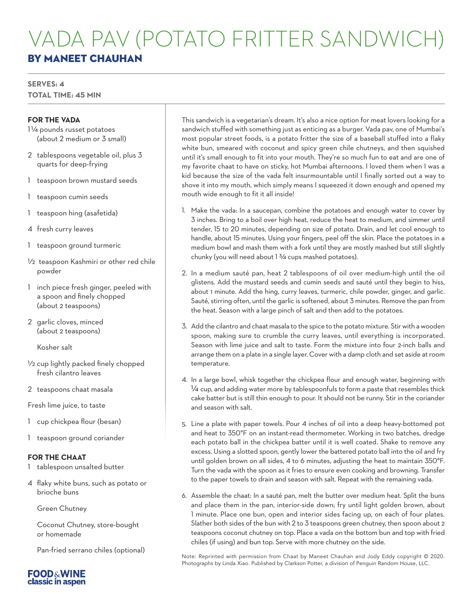## VADA PAV (POTATO FRITTER SANDWICH) BY MANEET CHAUHAN

#### **SERVES: 4 TOTAL TIME: 45 MIN**

#### **FOR THE VADA**

- 11/4 pounds russet potatoes (about 2 medium or 3 small)
- 2 tablespoons vegetable oil, plus 3 quarts for deep-frying
- 1 teaspoon brown mustard seeds
- 1 teaspoon cumin seeds
- 1 teaspoon hing (asafetida)
- 4 fresh curry leaves
- 1 teaspoon ground turmeric
- 1/2 teaspoon Kashmiri or other red chile powder
- 1 inch piece fresh ginger, peeled with a spoon and finely chopped (about 2 teaspoons)
- 2 garlic cloves, minced (about 2 teaspoons)

Kosher salt

- 1/2 cup lightly packed finely chopped fresh cilantro leaves
- 2 teaspoons chaat masala

Fresh lime juice, to taste

- 1 cup chickpea flour (besan)
- 1 teaspoon ground coriander

#### **FOR THE CHAAT**

- 1 tablespoon unsalted butter
- 4 flaky white buns, such as potato or brioche buns

Green Chutney

Coconut Chutney, store-bought or homemade

Pan-fried serrano chiles (optional)



- 1. Make the vada: In a saucepan, combine the potatoes and enough water to cover by 3 inches. Bring to a boil over high heat, reduce the heat to medium, and simmer until tender, 15 to 20 minutes, depending on size of potato. Drain, and let cool enough to handle, about 15 minutes. Using your fingers, peel off the skin. Place the potatoes in a medium bowl and mash them with a fork until they are mostly mashed but still slightly chunky (you will need about 1 3/4 cups mashed potatoes).
- 2. In a medium sauté pan, heat 2 tablespoons of oil over medium-high until the oil glistens. Add the mustard seeds and cumin seeds and sauté until they begin to hiss, about 1 minute. Add the hing, curry leaves, turmeric, chile powder, ginger, and garlic. Sauté, stirring often, until the garlic is softened, about 3 minutes. Remove the pan from the heat. Season with a large pinch of salt and then add to the potatoes.
- 3. Add the cilantro and chaat masala to the spice to the potato mixture. Stir with a wooden spoon, making sure to crumble the curry leaves, until everything is incorporated. Season with lime juice and salt to taste. Form the mixture into four 2-inch balls and arrange them on a plate in a single layer. Cover with a damp cloth and set aside at room temperature.
- 4. In a large bowl, whisk together the chickpea flour and enough water, beginning with 1/4 cup, and adding water more by tablespoonfuls to form a paste that resembles thick cake batter but is still thin enough to pour. It should not be runny. Stir in the coriander and season with salt.
- 5. Line a plate with paper towels. Pour 4 inches of oil into a deep heavy-bottomed pot and heat to 350°F on an instant-read thermometer. Working in two batches, dredge each potato ball in the chickpea batter until it is well coated. Shake to remove any excess. Using a slotted spoon, gently lower the battered potato ball into the oil and fry until golden brown on all sides, 4 to 6 minutes, adjusting the heat to maintain 350°F. Turn the vada with the spoon as it fries to ensure even cooking and browning. Transfer to the paper towels to drain and season with salt. Repeat with the remaining vada.
- 6. Assemble the chaat: In a sauté pan, melt the butter over medium heat. Split the buns and place them in the pan, interior-side down; fry until light golden brown, about 1 minute. Place one bun, open and interior sides facing up, on each of four plates. Slather both sides of the bun with 2 to 3 teaspoons green chutney, then spoon about 2 teaspoons coconut chutney on top. Place a vada on the bottom bun and top with fried chiles (if using) and bun top. Serve with more chutney on the side.

Note: Reprinted with permission from Chaat by Maneet Chauhan and Jody Eddy copyright © 2020. Photographs by Linda Xiao. Published by Clarkson Potter, a division of Penguin Random House, LLC.

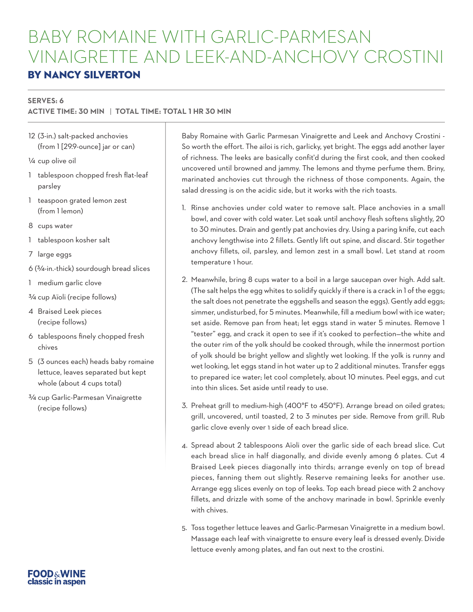# BABY ROMAINE WITH GARLIC-PARMESAN VINAIGRETTE AND LEEK-AND-ANCHOVY CROSTINI

## BY NANCY SILVERTON

#### **SERVES: 6**

#### **ACTIVE TIME: 30 MIN** | **TOTAL TIME: TOTAL 1 HR 30 MIN**

12 (3-in.) salt-packed anchovies (from 1 [29.9-ounce] jar or can)

1/4 cup olive oil

- 1 tablespoon chopped fresh flat-leaf parsley
- 1 teaspoon grated lemon zest (from 1 lemon)
- 8 cups water
- 1 tablespoon kosher salt
- 7 large eggs
- 6 (3/4-in.-thick) sourdough bread slices
- 1 medium garlic clove
- 3/4 cup Aïoli (recipe follows)
- 4 Braised Leek pieces (recipe follows)
- 6 tablespoons finely chopped fresh chives
- 5 (3 ounces each) heads baby romaine lettuce, leaves separated but kept whole (about 4 cups total)
- 3/4 cup Garlic-Parmesan Vinaigrette (recipe follows)

Baby Romaine with Garlic Parmesan Vinaigrette and Leek and Anchovy Crostini - So worth the effort. The ailoi is rich, garlicky, yet bright. The eggs add another layer of richness. The leeks are basically confit'd during the first cook, and then cooked uncovered until browned and jammy. The lemons and thyme perfume them. Briny, marinated anchovies cut through the richness of those components. Again, the salad dressing is on the acidic side, but it works with the rich toasts.

- 1. Rinse anchovies under cold water to remove salt. Place anchovies in a small bowl, and cover with cold water. Let soak until anchovy flesh softens slightly, 20 to 30 minutes. Drain and gently pat anchovies dry. Using a paring knife, cut each anchovy lengthwise into 2 fillets. Gently lift out spine, and discard. Stir together anchovy fillets, oil, parsley, and lemon zest in a small bowl. Let stand at room temperature 1 hour.
- 2. Meanwhile, bring 8 cups water to a boil in a large saucepan over high. Add salt. (The salt helps the egg whites to solidify quickly if there is a crack in 1 of the eggs; the salt does not penetrate the eggshells and season the eggs). Gently add eggs; simmer, undisturbed, for 5 minutes. Meanwhile, fill a medium bowl with ice water; set aside. Remove pan from heat; let eggs stand in water 5 minutes. Remove 1 "tester" egg, and crack it open to see if it's cooked to perfection—the white and the outer rim of the yolk should be cooked through, while the innermost portion of yolk should be bright yellow and slightly wet looking. If the yolk is runny and wet looking, let eggs stand in hot water up to 2 additional minutes. Transfer eggs to prepared ice water; let cool completely, about 10 minutes. Peel eggs, and cut into thin slices. Set aside until ready to use.
- 3. Preheat grill to medium-high (400°F to 450°F). Arrange bread on oiled grates; grill, uncovered, until toasted, 2 to 3 minutes per side. Remove from grill. Rub garlic clove evenly over 1 side of each bread slice.
- 4. Spread about 2 tablespoons Aïoli over the garlic side of each bread slice. Cut each bread slice in half diagonally, and divide evenly among 6 plates. Cut 4 Braised Leek pieces diagonally into thirds; arrange evenly on top of bread pieces, fanning them out slightly. Reserve remaining leeks for another use. Arrange egg slices evenly on top of leeks. Top each bread piece with 2 anchovy fillets, and drizzle with some of the anchovy marinade in bowl. Sprinkle evenly with chives.
- 5. Toss together lettuce leaves and Garlic-Parmesan Vinaigrette in a medium bowl. Massage each leaf with vinaigrette to ensure every leaf is dressed evenly. Divide lettuce evenly among plates, and fan out next to the crostini.

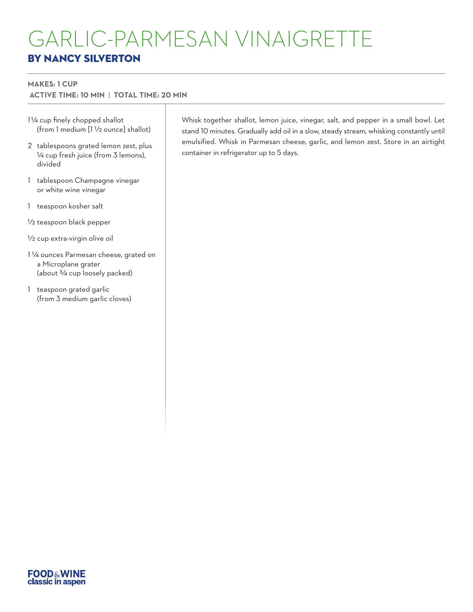# GARLIC-PARMESAN VINAIGRETTE BY NANCY SILVERTON

#### **MAKES: 1 CUP**

 **ACTIVE TIME: 10 MIN** | **TOTAL TIME: 20 MIN**

- 11/4 cup finely chopped shallot (from 1 medium [1 1/2 ounce] shallot)
- 2 tablespoons grated lemon zest, plus 1/4 cup fresh juice (from 3 lemons), divided
- 1 tablespoon Champagne vinegar or white wine vinegar
- 1 teaspoon kosher salt
- 1/2 teaspoon black pepper
- 1/2 cup extra-virgin olive oil
- 1 1/4 ounces Parmesan cheese, grated on a Microplane grater (about 3/4 cup loosely packed)
- 1 teaspoon grated garlic (from 3 medium garlic cloves)

Whisk together shallot, lemon juice, vinegar, salt, and pepper in a small bowl. Let stand 10 minutes. Gradually add oil in a slow, steady stream, whisking constantly until emulsified. Whisk in Parmesan cheese, garlic, and lemon zest. Store in an airtight container in refrigerator up to 5 days.

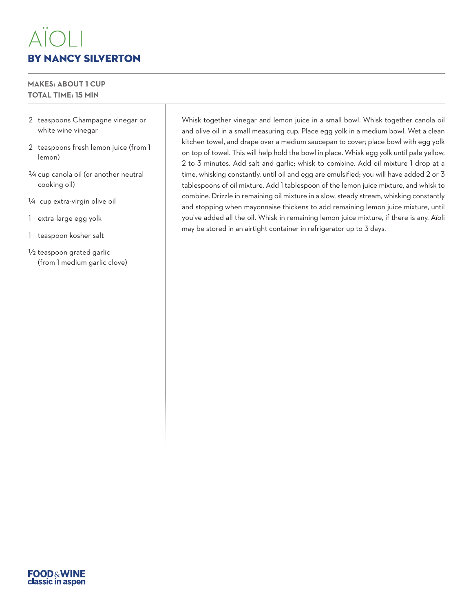# AÏOLI BY NANCY SILVERTON

#### **MAKES: ABOUT 1 CUP TOTAL TIME: 15 MIN**

- 2 teaspoons Champagne vinegar or white wine vinegar
- 2 teaspoons fresh lemon juice (from 1 lemon)
- 3/4 cup canola oil (or another neutral cooking oil)
- 1/4 cup extra-virgin olive oil
- 1 extra-large egg yolk
- 1 teaspoon kosher salt
- 1/2 teaspoon grated garlic (from 1 medium garlic clove)

Whisk together vinegar and lemon juice in a small bowl. Whisk together canola oil and olive oil in a small measuring cup. Place egg yolk in a medium bowl. Wet a clean kitchen towel, and drape over a medium saucepan to cover; place bowl with egg yolk on top of towel. This will help hold the bowl in place. Whisk egg yolk until pale yellow, 2 to 3 minutes. Add salt and garlic; whisk to combine. Add oil mixture 1 drop at a time, whisking constantly, until oil and egg are emulsified; you will have added 2 or 3 tablespoons of oil mixture. Add 1 tablespoon of the lemon juice mixture, and whisk to combine. Drizzle in remaining oil mixture in a slow, steady stream, whisking constantly and stopping when mayonnaise thickens to add remaining lemon juice mixture, until you've added all the oil. Whisk in remaining lemon juice mixture, if there is any. Aïoli may be stored in an airtight container in refrigerator up to 3 days.

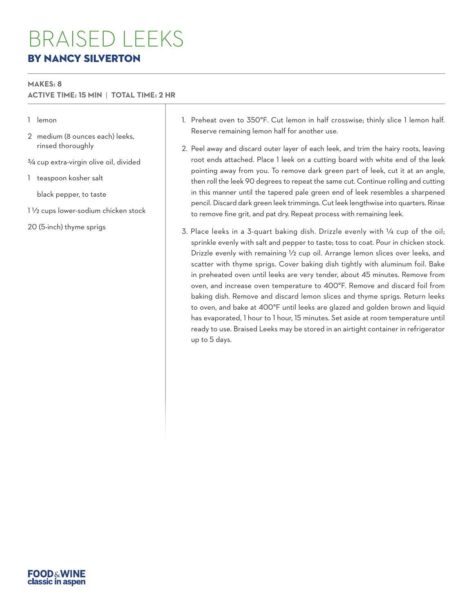## BRAISED LEEKS BY NANCY SILVERTON

#### **MAKES: 8**

#### **ACTIVE TIME: 15 MIN** | **TOTAL TIME: 2 HR**

#### 1 lemon

- 2 medium (8 ounces each) leeks, rinsed thoroughly
- 3/4 cup extra-virgin olive oil, divided
- 1 teaspoon kosher salt

black pepper, to taste

1 1/2 cups lower-sodium chicken stock

20 (5-inch) thyme sprigs

- 1. Preheat oven to 350°F. Cut lemon in half crosswise; thinly slice 1 lemon half. Reserve remaining lemon half for another use.
- 2. Peel away and discard outer layer of each leek, and trim the hairy roots, leaving root ends attached. Place 1 leek on a cutting board with white end of the leek pointing away from you. To remove dark green part of leek, cut it at an angle, then roll the leek 90 degrees to repeat the same cut. Continue rolling and cutting in this manner until the tapered pale green end of leek resembles a sharpened pencil. Discard dark green leek trimmings. Cut leek lengthwise into quarters. Rinse to remove fine grit, and pat dry. Repeat process with remaining leek.
- 3. Place leeks in a 3-quart baking dish. Drizzle evenly with 1/4 cup of the oil; sprinkle evenly with salt and pepper to taste; toss to coat. Pour in chicken stock. Drizzle evenly with remaining 1/2 cup oil. Arrange lemon slices over leeks, and scatter with thyme sprigs. Cover baking dish tightly with aluminum foil. Bake in preheated oven until leeks are very tender, about 45 minutes. Remove from oven, and increase oven temperature to 400°F. Remove and discard foil from baking dish. Remove and discard lemon slices and thyme sprigs. Return leeks to oven, and bake at 400°F until leeks are glazed and golden brown and liquid has evaporated, 1 hour to 1 hour, 15 minutes. Set aside at room temperature until ready to use. Braised Leeks may be stored in an airtight container in refrigerator up to 5 days.

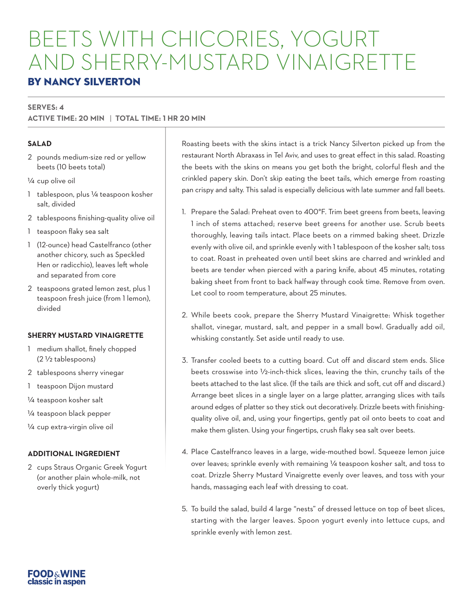# BEETS WITH CHICORIES, YOGURT AND SHERRY-MUSTARD VINAIGRETTE

## BY NANCY SILVERTON

#### **SERVES: 4**

### **ACTIVE TIME: 20 MIN** | **TOTAL TIME: 1 HR 20 MIN**

#### **SALAD**

- 2 pounds medium-size red or yellow beets (10 beets total)
- 1/4 cup olive oil
- 1 tablespoon, plus 1/4 teaspoon kosher salt, divided
- 2 tablespoons finishing-quality olive oil
- 1 teaspoon flaky sea salt
- 1 (12-ounce) head Castelfranco (other another chicory, such as Speckled Hen or radicchio), leaves left whole and separated from core
- 2 teaspoons grated lemon zest, plus 1 teaspoon fresh juice (from 1 lemon), divided

#### **SHERRY MUSTARD VINAIGRETTE**

- 1 medium shallot, finely chopped (2 1/2 tablespoons)
- 2 tablespoons sherry vinegar
- 1 teaspoon Dijon mustard
- 1/4 teaspoon kosher salt
- 1/4 teaspoon black pepper
- 1/4 cup extra-virgin olive oil

#### **ADDITIONAL INGREDIENT**

2 cups Straus Organic Greek Yogurt (or another plain whole-milk, not overly thick yogurt)

Roasting beets with the skins intact is a trick Nancy Silverton picked up from the restaurant North Abraxass in Tel Aviv, and uses to great effect in this salad. Roasting the beets with the skins on means you get both the bright, colorful flesh and the crinkled papery skin. Don't skip eating the beet tails, which emerge from roasting pan crispy and salty. This salad is especially delicious with late summer and fall beets.

- 1. Prepare the Salad: Preheat oven to 400°F. Trim beet greens from beets, leaving 1 inch of stems attached; reserve beet greens for another use. Scrub beets thoroughly, leaving tails intact. Place beets on a rimmed baking sheet. Drizzle evenly with olive oil, and sprinkle evenly with 1 tablespoon of the kosher salt; toss to coat. Roast in preheated oven until beet skins are charred and wrinkled and beets are tender when pierced with a paring knife, about 45 minutes, rotating baking sheet from front to back halfway through cook time. Remove from oven. Let cool to room temperature, about 25 minutes.
- 2. While beets cook, prepare the Sherry Mustard Vinaigrette: Whisk together shallot, vinegar, mustard, salt, and pepper in a small bowl. Gradually add oil, whisking constantly. Set aside until ready to use.
- 3. Transfer cooled beets to a cutting board. Cut off and discard stem ends. Slice beets crosswise into 1/2-inch-thick slices, leaving the thin, crunchy tails of the beets attached to the last slice. (If the tails are thick and soft, cut off and discard.) Arrange beet slices in a single layer on a large platter, arranging slices with tails around edges of platter so they stick out decoratively. Drizzle beets with finishingquality olive oil, and, using your fingertips, gently pat oil onto beets to coat and make them glisten. Using your fingertips, crush flaky sea salt over beets.
- 4. Place Castelfranco leaves in a large, wide-mouthed bowl. Squeeze lemon juice over leaves; sprinkle evenly with remaining 1/4 teaspoon kosher salt, and toss to coat. Drizzle Sherry Mustard Vinaigrette evenly over leaves, and toss with your hands, massaging each leaf with dressing to coat.
- 5. To build the salad, build 4 large "nests" of dressed lettuce on top of beet slices, starting with the larger leaves. Spoon yogurt evenly into lettuce cups, and sprinkle evenly with lemon zest.

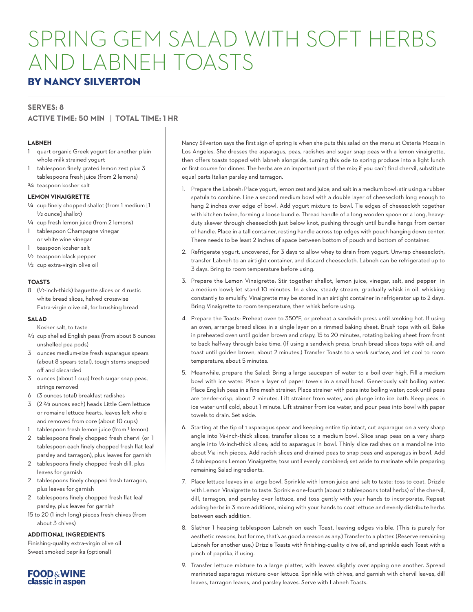# SPRING GEM SALAD WITH SOFT HERBS AND LABNEH TOASTS

### BY NANCY SILVERTON

#### **SERVES: 8**

#### **ACTIVE TIME: 50 MIN** | **TOTAL TIME: 1 HR**

#### **LABNEH**

- 1 quart organic Greek yogurt (or another plain whole-milk strained yogurt
- 1 tablespoon finely grated lemon zest plus 3 tablespoons fresh juice (from 2 lemons)
- 3/4 teaspoon kosher salt

#### **LEMON VINAIGRETTE**

- 1/4 cup finely chopped shallot (from 1 medium [1 1/2 ounce] shallot)
- 1/4 cup fresh lemon juice (from 2 lemons) 1 tablespoon Champagne vinegar
- or white wine vinegar
- 1 teaspoon kosher salt
- 1/2 teaspoon black pepper
- 1/2 cup extra-virgin olive oil

#### **TOASTS**

8 (1/2-inch-thick) baguette slices or 4 rustic white bread slices, halved crosswise Extra-virgin olive oil, for brushing bread

#### **SALAD**

- Kosher salt, to taste
- 2/3 cup shelled English peas (from about 8 ounces unshelled pea pods)
- 3 ounces medium-size fresh asparagus spears (about 8 spears total), tough stems snapped off and discarded
- 3 ounces (about 1 cup) fresh sugar snap peas, strings removed
- 6 (3 ounces total) breakfast radishes
- 3 (2 2/3 ounces each) heads Little Gem lettuce or romaine lettuce hearts, leaves left whole and removed from core (about 10 cups)
- 1 tablespoon fresh lemon juice (from 1 lemon)
- 2 tablespoons finely chopped fresh chervil (or 1 tablespoon each finely chopped fresh flat-leaf parsley and tarragon), plus leaves for garnish
- 2 tablespoons finely chopped fresh dill, plus leaves for garnish
- 2 tablespoons finely chopped fresh tarragon, plus leaves for garnish
- 2 tablespoons finely chopped fresh flat-leaf parsley, plus leaves for garnish
- 15 to 20 (1-inch-long) pieces fresh chives (from about 3 chives)

#### **ADDITIONAL INGREDIENTS**

Finishing-quality extra-virgin olive oil Sweet smoked paprika (optional)



Nancy Silverton says the first sign of spring is when she puts this salad on the menu at Osteria Mozza in Los Angeles. She dresses the asparagus, peas, radishes and sugar snap peas with a lemon vinaigrette, then offers toasts topped with labneh alongside, turning this ode to spring produce into a light lunch or first course for dinner. The herbs are an important part of the mix; if you can't find chervil, substitute equal parts Italian parsley and tarragon.

- 1. Prepare the Labneh: Place yogurt, lemon zest and juice, and salt in a medium bowl; stir using a rubber spatula to combine. Line a second medium bowl with a double layer of cheesecloth long enough to hang 2 inches over edge of bowl. Add yogurt mixture to bowl. Tie edges of cheesecloth together with kitchen twine, forming a loose bundle. Thread handle of a long wooden spoon or a long, heavyduty skewer through cheesecloth just below knot, pushing through until bundle hangs from center of handle. Place in a tall container, resting handle across top edges with pouch hanging down center. There needs to be least 2 inches of space between bottom of pouch and bottom of container.
- 2. Refrigerate yogurt, uncovered, for 3 days to allow whey to drain from yogurt. Unwrap cheesecloth; transfer Labneh to an airtight container, and discard cheesecloth. Labneh can be refrigerated up to 3 days. Bring to room temperature before using.
- 3. Prepare the Lemon Vinaigrette: Stir together shallot, lemon juice, vinegar, salt, and pepper in a medium bowl; let stand 10 minutes. In a slow, steady stream, gradually whisk in oil, whisking constantly to emulsify. Vinaigrette may be stored in an airtight container in refrigerator up to 2 days. Bring Vinaigrette to room temperature, then whisk before using.
- 4. Prepare the Toasts: Preheat oven to 350°F, or preheat a sandwich press until smoking hot. If using an oven, arrange bread slices in a single layer on a rimmed baking sheet. Brush tops with oil. Bake in preheated oven until golden brown and crispy, 15 to 20 minutes, rotating baking sheet from front to back halfway through bake time. (If using a sandwich press, brush bread slices tops with oil, and toast until golden brown, about 2 minutes.) Transfer Toasts to a work surface, and let cool to room temperature, about 5 minutes.
- 5. Meanwhile, prepare the Salad: Bring a large saucepan of water to a boil over high. Fill a medium bowl with ice water. Place a layer of paper towels in a small bowl. Generously salt boiling water. Place English peas in a fine mesh strainer. Place strainer with peas into boiling water; cook until peas are tender-crisp, about 2 minutes. Lift strainer from water, and plunge into ice bath. Keep peas in ice water until cold, about 1 minute. Lift strainer from ice water, and pour peas into bowl with paper towels to drain. Set aside.
- 6. Starting at the tip of 1 asparagus spear and keeping entire tip intact, cut asparagus on a very sharp angle into 1/8-inch-thick slices; transfer slices to a medium bowl. Slice snap peas on a very sharp angle into 1/8-inch-thick slices; add to asparagus in bowl. Thinly slice radishes on a mandoline into about 1/16-inch pieces. Add radish slices and drained peas to snap peas and asparagus in bowl. Add 3 tablespoons Lemon Vinaigrette; toss until evenly combined; set aside to marinate while preparing remaining Salad ingredients.
- 7. Place lettuce leaves in a large bowl. Sprinkle with lemon juice and salt to taste; toss to coat. Drizzle with Lemon Vinaigrette to taste. Sprinkle one-fourth (about 2 tablespoons total herbs) of the chervil, dill, tarragon, and parsley over lettuce, and toss gently with your hands to incorporate. Repeat adding herbs in 3 more additions, mixing with your hands to coat lettuce and evenly distribute herbs between each addition.
- 8. Slather 1 heaping tablespoon Labneh on each Toast, leaving edges visible. (This is purely for aesthetic reasons, but for me, that's as good a reason as any.) Transfer to a platter. (Reserve remaining Labneh for another use.) Drizzle Toasts with finishing-quality olive oil, and sprinkle each Toast with a pinch of paprika, if using.
- 9. Transfer lettuce mixture to a large platter, with leaves slightly overlapping one another. Spread marinated asparagus mixture over lettuce. Sprinkle with chives, and garnish with chervil leaves, dill leaves, tarragon leaves, and parsley leaves. Serve with Labneh Toasts.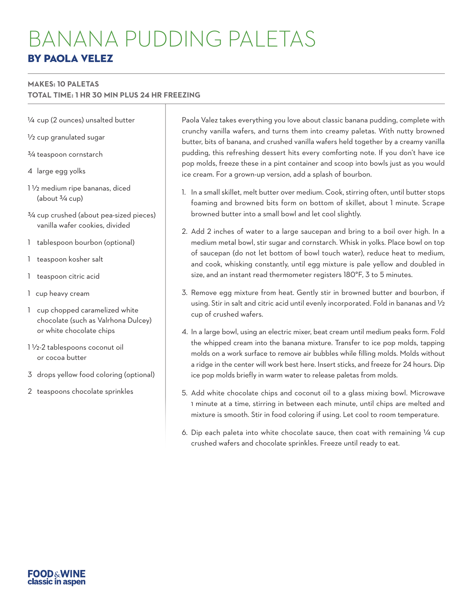# BANANA PUDDING PALETAS BY PAOLA VELEZ

#### **MAKES: 10 PALETAS**

**TOTAL TIME: 1 HR 30 MIN PLUS 24 HR FREEZING**

- 1/4 cup (2 ounces) unsalted butter
- 1/2 cup granulated sugar
- 3/4 teaspoon cornstarch
- 4 large egg yolks
- 1 1/2 medium ripe bananas, diced (about  $\frac{3}{4}$  cup)
- 3/4 cup crushed (about pea-sized pieces) vanilla wafer cookies, divided
- 1 tablespoon bourbon (optional)
- 1 teaspoon kosher salt
- 1 teaspoon citric acid
- $1$  / $\ell$ up heavy cream
- 1 cup chopped caramelized white chocolate (such as Valrhona Dulcey) or white chocolate chips
- 1 1/2-2 tablespoons coconut oil or cocoa butter
- 3 drops yellow food coloring (optional)
- 2 teaspoons chocolate sprinkles

Paola Valez takes everything you love about classic banana pudding, complete with crunchy vanilla wafers, and turns them into creamy paletas. With nutty browned butter, bits of banana, and crushed vanilla wafers held together by a creamy vanilla pudding, this refreshing dessert hits every comforting note. If you don't have ice pop molds, freeze these in a pint container and scoop into bowls just as you would ice cream. For a grown-up version, add a splash of bourbon.

- 1. In a small skillet, melt butter over medium. Cook, stirring often, until butter stops foaming and browned bits form on bottom of skillet, about 1 minute. Scrape browned butter into a small bowl and let cool slightly.
- 2. Add 2 inches of water to a large saucepan and bring to a boil over high. In a medium metal bowl, stir sugar and cornstarch. Whisk in yolks. Place bowl on top of saucepan (do not let bottom of bowl touch water), reduce heat to medium, and cook, whisking constantly, until egg mixture is pale yellow and doubled in size, and an instant read thermometer registers 180°F, 3 to 5 minutes.
- 3. Remove egg mixture from heat. Gently stir in browned butter and bourbon, if using. Stir in salt and citric acid until evenly incorporated. Fold in bananas and 1/2 cup of crushed wafers.
- 4. In a large bowl, using an electric mixer, beat cream until medium peaks form. Fold the whipped cream into the banana mixture. Transfer to ice pop molds, tapping molds on a work surface to remove air bubbles while filling molds. Molds without a ridge in the center will work best here. Insert sticks, and freeze for 24 hours. Dip ice pop molds briefly in warm water to release paletas from molds.
- 5. Add white chocolate chips and coconut oil to a glass mixing bowl. Microwave 1 minute at a time, stirring in between each minute, until chips are melted and mixture is smooth. Stir in food coloring if using. Let cool to room temperature.
- 6. Dip each paleta into white chocolate sauce, then coat with remaining 1/4 cup crushed wafers and chocolate sprinkles. Freeze until ready to eat.

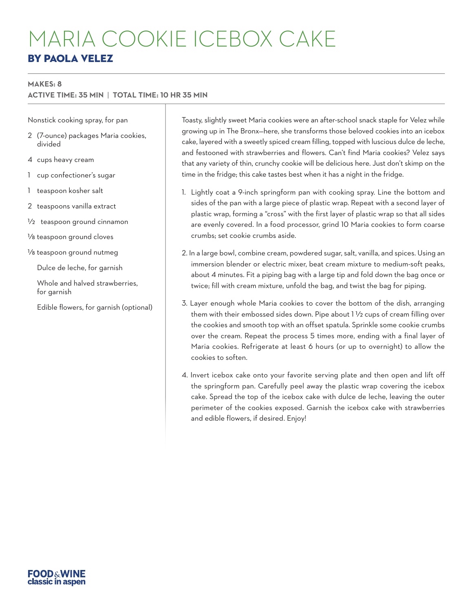# MARIA COOKIE ICEBOX CAKE BY PAOLA VELEZ

#### **MAKES: 8**

#### **ACTIVE TIME: 35 MIN** | **TOTAL TIME: 10 HR 35 MIN**

Nonstick cooking spray, for pan

- 2 (7-ounce) packages Maria cookies, divided
- 4 cups heavy cream
- 1 cup confectioner's sugar
- 1 teaspoon kosher salt

2 teaspoons vanilla extract

1/2 teaspoon ground cinnamon

1/8 teaspoon ground cloves

1/8 teaspoon ground nutmeg

Dulce de leche, for garnish

- Whole and halved strawberries. for garnish
- Edible flowers, for garnish (optional)

Toasty, slightly sweet Maria cookies were an after-school snack staple for Velez while growing up in The Bronx—here, she transforms those beloved cookies into an icebox cake, layered with a sweetly spiced cream filling, topped with luscious dulce de leche, and festooned with strawberries and flowers. Can't find Maria cookies? Velez says that any variety of thin, crunchy cookie will be delicious here. Just don't skimp on the time in the fridge; this cake tastes best when it has a night in the fridge.

- 1. Lightly coat a 9-inch springform pan with cooking spray. Line the bottom and sides of the pan with a large piece of plastic wrap. Repeat with a second layer of plastic wrap, forming a "cross" with the first layer of plastic wrap so that all sides are evenly covered. In a food processor, grind 10 Maria cookies to form coarse crumbs; set cookie crumbs aside.
- 2. In a large bowl, combine cream, powdered sugar, salt, vanilla, and spices. Using an immersion blender or electric mixer, beat cream mixture to medium-soft peaks, about 4 minutes. Fit a piping bag with a large tip and fold down the bag once or twice; fill with cream mixture, unfold the bag, and twist the bag for piping.
- 3. Layer enough whole Maria cookies to cover the bottom of the dish, arranging them with their embossed sides down. Pipe about 1 1/2 cups of cream filling over the cookies and smooth top with an offset spatula. Sprinkle some cookie crumbs over the cream. Repeat the process 5 times more, ending with a final layer of Maria cookies. Refrigerate at least 6 hours (or up to overnight) to allow the cookies to soften.
- 4. Invert icebox cake onto your favorite serving plate and then open and lift off the springform pan. Carefully peel away the plastic wrap covering the icebox cake. Spread the top of the icebox cake with dulce de leche, leaving the outer perimeter of the cookies exposed. Garnish the icebox cake with strawberries and edible flowers, if desired. Enjoy!

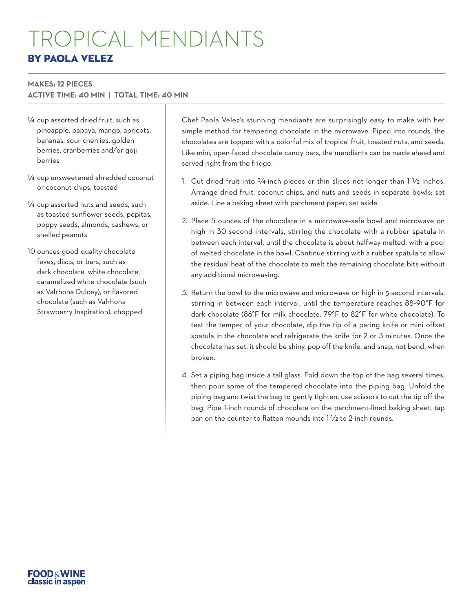# TROPICAL MENDIANTS BY PAOLA VELEZ

#### **MAKES: 12 PIECES**

**ACTIVE TIME: 40 MIN** | **TOTAL TIME: 40 MIN**

- 1/4 cup assorted dried fruit, such as pineapple, papaya, mango, apricots, bananas, sour cherries, golden berries, cranberries and/or goji berries
- 1/4 cup unsweetened shredded coconut or coconut chips, toasted
- 1/4 cup assorted nuts and seeds, such as toasted sunflower seeds, pepitas, poppy seeds, almonds, cashews, or shelled peanuts
- 10 ounces good-quality chocolate feves, discs, or bars, such as dark chocolate, white chocolate, caramelized white chocolate (such as Valrhona Dulcey), or flavored chocolate (such as Valrhona Strawberry Inspiration), chopped

Chef Paola Velez's stunning mendiants are surprisingly easy to make with her simple method for tempering chocolate in the microwave. Piped into rounds, the chocolates are topped with a colorful mix of tropical fruit, toasted nuts, and seeds. Like mini, open-faced chocolate candy bars, the mendiants can be made ahead and served right from the fridge.

- 1. Cut dried fruit into  $\frac{3}{4}$ -inch pieces or thin slices not longer than  $1\frac{1}{2}$  inches. Arrange dried fruit, coconut chips, and nuts and seeds in separate bowls; set aside. Line a baking sheet with parchment paper; set aside.
- 2. Place 5 ounces of the chocolate in a microwave-safe bowl and microwave on high in 30-second intervals, stirring the chocolate with a rubber spatula in between each interval, until the chocolate is about halfway melted, with a pool of melted chocolate in the bowl. Continue stirring with a rubber spatula to allow the residual heat of the chocolate to melt the remaining chocolate bits without any additional microwaving.
- 3. Return the bowl to the microwave and microwave on high in 5-second intervals, stirring in between each interval, until the temperature reaches 88-90°F for dark chocolate (86°F for milk chocolate, 79°F to 82°F for white chocolate). To test the temper of your chocolate, dip the tip of a paring knife or mini offset spatula in the chocolate and refrigerate the knife for 2 or 3 minutes. Once the chocolate has set, it should be shiny, pop off the knife, and snap, not bend, when broken.
- 4. Set a piping bag inside a tall glass. Fold down the top of the bag several times, then pour some of the tempered chocolate into the piping bag. Unfold the piping bag and twist the bag to gently tighten; use scissors to cut the tip off the bag. Pipe 1-inch rounds of chocolate on the parchment-lined baking sheet; tap pan on the counter to flatten mounds into 1 1/2 to 2-inch rounds.

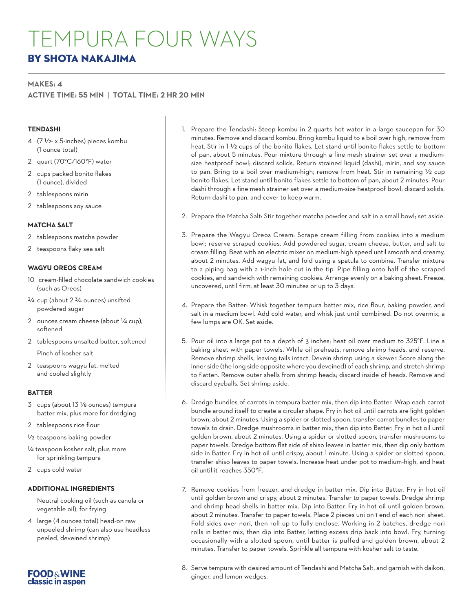## TEMPURA FOUR WAYS BY SHOTA NAKAJIMA

#### **MAKES: 4**

**ACTIVE TIME: 55 MIN** | **TOTAL TIME: 2 HR 20 MIN**

#### **TENDASHI**

- 4 (7 1/2- x 5-inches) pieces kombu (1 ounce total)
- 2 quart (70°C/160°F) water
- 2 cups packed bonito flakes (1 ounce), divided
- 2 tablespoons mirin
- 2 tablespoons soy sauce

#### **MATCHA SALT**

- 2 tablespoons matcha powder
- 2 teaspoons flaky sea salt

#### **WAGYU OREOS CREAM**

- 10 cream-filled chocolate sandwich cookies (such as Oreos)
- 3/4 cup (about 2 3/4 ounces) unsifted powdered sugar
- 2 ounces cream cheese (about 1/4 cup), softened
- 2 tablespoons unsalted butter, softened

Pinch of kosher salt

2 teaspoons wagyu fat, melted and cooled slightly

#### **BATTER**

- 3 cups (about 13 1/8 ounces) tempura batter mix, plus more for dredging
- 2 tablespoons rice flour
- 1/2 teaspoons baking powder
- 1/4 teaspoon kosher salt, plus more for sprinkling tempura
- 2 cups cold water

#### **ADDITIONAL INGREDIENTS**

Neutral cooking oil (such as canola or vegetable oil), for frying

4 large (4 ounces total) head-on raw unpeeled shrimp (can also use headless peeled, deveined shrimp)



- 2. Prepare the Matcha Salt: Stir together matcha powder and salt in a small bowl; set aside.
- 3. Prepare the Wagyu Oreos Cream: Scrape cream filling from cookies into a medium bowl; reserve scraped cookies. Add powdered sugar, cream cheese, butter, and salt to cream filling. Beat with an electric mixer on medium-high speed until smooth and creamy, about 2 minutes. Add wagyu fat, and fold using a spatula to combine. Transfer mixture to a piping bag with a 1-inch hole cut in the tip. Pipe filling onto half of the scraped cookies, and sandwich with remaining cookies. Arrange evenly on a baking sheet. Freeze, uncovered, until firm, at least 30 minutes or up to 3 days.
- 4. Prepare the Batter: Whisk together tempura batter mix, rice flour, baking powder, and salt in a medium bowl. Add cold water, and whisk just until combined. Do not overmix; a few lumps are OK. Set aside.
- 5. Pour oil into a large pot to a depth of 3 inches; heat oil over medium to 325°F. Line a baking sheet with paper towels. While oil preheats, remove shrimp heads, and reserve. Remove shrimp shells, leaving tails intact. Devein shrimp using a skewer. Score along the inner side (the long side opposite where you deveined) of each shrimp, and stretch shrimp to flatten. Remove outer shells from shrimp heads; discard inside of heads. Remove and discard eyeballs. Set shrimp aside.
- 6. Dredge bundles of carrots in tempura batter mix, then dip into Batter. Wrap each carrot bundle around itself to create a circular shape. Fry in hot oil until carrots are light golden brown, about 2 minutes. Using a spider or slotted spoon, transfer carrot bundles to paper towels to drain. Dredge mushrooms in batter mix, then dip into Batter. Fry in hot oil until golden brown, about 2 minutes. Using a spider or slotted spoon, transfer mushrooms to paper towels. Dredge bottom flat side of shiso leaves in batter mix, then dip only bottom side in Batter. Fry in hot oil until crispy, about 1 minute. Using a spider or slotted spoon, transfer shiso leaves to paper towels. Increase heat under pot to medium-high, and heat oil until it reaches 350°F.
- 7. Remove cookies from freezer, and dredge in batter mix. Dip into Batter. Fry in hot oil until golden brown and crispy, about 2 minutes. Transfer to paper towels. Dredge shrimp and shrimp head shells in batter mix. Dip into Batter. Fry in hot oil until golden brown, about 2 minutes. Transfer to paper towels. Place 2 pieces uni on 1 end of each nori sheet. Fold sides over nori, then roll up to fully enclose. Working in 2 batches, dredge nori rolls in batter mix, then dip into Batter, letting excess drip back into bowl. Fry, turning occasionally with a slotted spoon, until batter is puffed and golden brown, about 2 minutes. Transfer to paper towels. Sprinkle all tempura with kosher salt to taste.
- 8. Serve tempura with desired amount of Tendashi and Matcha Salt, and garnish with daikon, ginger, and lemon wedges.

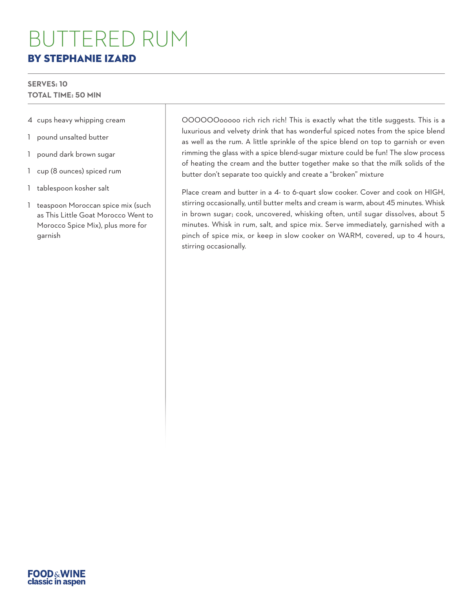## BUTTERED RUM BY STEPHANIE IZARD

#### **SERVES: 10 TOTAL TIME: 50 MIN**

- 4 cups heavy whipping cream
- 1 pound unsalted butter
- 1 pound dark brown sugar
- 1 cup (8 ounces) spiced rum
- 1 tablespoon kosher salt
- 1 teaspoon Moroccan spice mix (such as This Little Goat Morocco Went to Morocco Spice Mix), plus more for garnish

OOOOOOooooo rich rich rich! This is exactly what the title suggests. This is a luxurious and velvety drink that has wonderful spiced notes from the spice blend as well as the rum. A little sprinkle of the spice blend on top to garnish or even rimming the glass with a spice blend-sugar mixture could be fun! The slow process of heating the cream and the butter together make so that the milk solids of the butter don't separate too quickly and create a "broken" mixture

Place cream and butter in a 4- to 6-quart slow cooker. Cover and cook on HIGH, stirring occasionally, until butter melts and cream is warm, about 45 minutes. Whisk in brown sugar; cook, uncovered, whisking often, until sugar dissolves, about 5 minutes. Whisk in rum, salt, and spice mix. Serve immediately, garnished with a pinch of spice mix, or keep in slow cooker on WARM, covered, up to 4 hours, stirring occasionally.

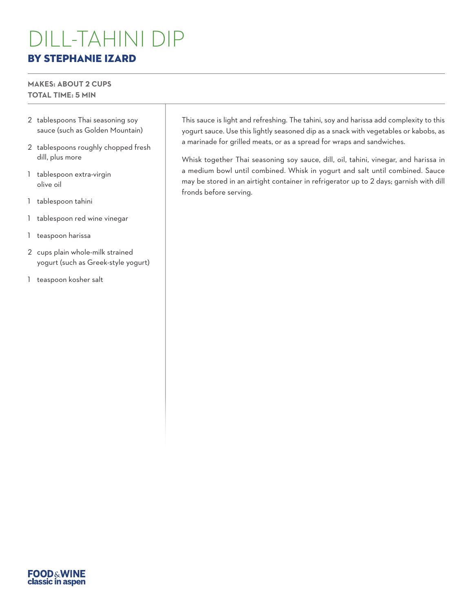## DILL-TAHINI DIP BY STEPHANIE IZARD

#### **MAKES: ABOUT 2 CUPS TOTAL TIME: 5 MIN**

- 2 tablespoons Thai seasoning soy sauce (such as Golden Mountain)
- 2 tablespoons roughly chopped fresh dill, plus more
- 1 tablespoon extra-virgin olive oil
- 1 tablespoon tahini
- 1 tablespoon red wine vinegar
- 1 teaspoon harissa
- 2 cups plain whole-milk strained yogurt (such as Greek-style yogurt)
- 1 teaspoon kosher salt

This sauce is light and refreshing. The tahini, soy and harissa add complexity to this yogurt sauce. Use this lightly seasoned dip as a snack with vegetables or kabobs, as a marinade for grilled meats, or as a spread for wraps and sandwiches.

Whisk together Thai seasoning soy sauce, dill, oil, tahini, vinegar, and harissa in a medium bowl until combined. Whisk in yogurt and salt until combined. Sauce may be stored in an airtight container in refrigerator up to 2 days; garnish with dill fronds before serving.

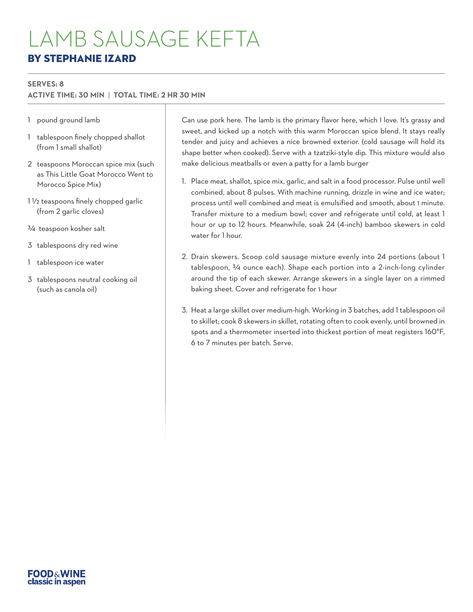## LAMB SAUSAGE KEFTA BY STEPHANIE IZARD

#### **SERVES: 8**

#### **ACTIVE TIME: 30 MIN** | **TOTAL TIME: 2 HR 30 MIN**

- 1 pound ground lamb
- 1 tablespoon finely chopped shallot (from 1 small shallot)
- 2 teaspoons Moroccan spice mix (such as This Little Goat Morocco Went to Morocco Spice Mix)
- 1 1/2 teaspoons finely chopped garlic (from 2 garlic cloves)
- 3/4 teaspoon kosher salt
- 3 tablespoons dry red wine
- 1 tablespoon ice water
- 3 tablespoons neutral cooking oil (such as canola oil)

Can use pork here. The lamb is the primary flavor here, which I love. It's grassy and sweet, and kicked up a notch with this warm Moroccan spice blend. It stays really tender and juicy and achieves a nice browned exterior. (cold sausage will hold its shape better when cooked). Serve with a tzatziki-style dip. This mixture would also make delicious meatballs or even a patty for a lamb burger

- 1. Place meat, shallot, spice mix, garlic, and salt in a food processor. Pulse until well combined, about 8 pulses. With machine running, drizzle in wine and ice water; process until well combined and meat is emulsified and smooth, about 1 minute. Transfer mixture to a medium bowl; cover and refrigerate until cold, at least 1 hour or up to 12 hours. Meanwhile, soak 24 (4-inch) bamboo skewers in cold water for 1 hour.
- 2. Drain skewers. Scoop cold sausage mixture evenly into 24 portions (about 1 tablespoon, 3/4 ounce each). Shape each portion into a 2-inch-long cylinder around the tip of each skewer. Arrange skewers in a single layer on a rimmed baking sheet. Cover and refrigerate for 1 hour
- 3. Heat a large skillet over medium-high. Working in 3 batches, add 1 tablespoon oil to skillet; cook 8 skewers in skillet, rotating often to cook evenly, until browned in spots and a thermometer inserted into thickest portion of meat registers 160°F, 6 to 7 minutes per batch. Serve.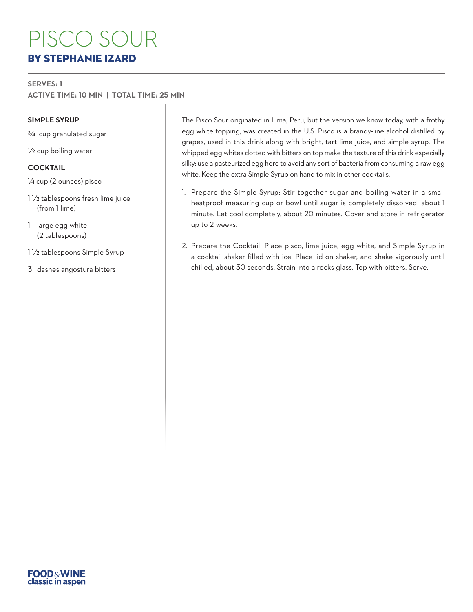# PISCO SOUR BY STEPHANIE IZARD

#### **SERVES: 1**

**ACTIVE TIME: 10 MIN** | **TOTAL TIME: 25 MIN**

#### **SIMPLE SYRUP**

3/4 cup granulated sugar

1/2 cup boiling water

#### **COCKTAIL**

1/4 cup (2 ounces) pisco

- 1 1/2 tablespoons fresh lime juice (from 1 lime)
- 1 large egg white (2 tablespoons)
- 1 1/2 tablespoons Simple Syrup
- 3 dashes angostura bitters

The Pisco Sour originated in Lima, Peru, but the version we know today, with a frothy egg white topping, was created in the U.S. Pisco is a brandy-line alcohol distilled by grapes, used in this drink along with bright, tart lime juice, and simple syrup. The whipped egg whites dotted with bitters on top make the texture of this drink especially silky; use a pasteurized egg here to avoid any sort of bacteria from consuming a raw egg white. Keep the extra Simple Syrup on hand to mix in other cocktails.

- 1. Prepare the Simple Syrup: Stir together sugar and boiling water in a small heatproof measuring cup or bowl until sugar is completely dissolved, about 1 minute. Let cool completely, about 20 minutes. Cover and store in refrigerator up to 2 weeks.
- 2. Prepare the Cocktail: Place pisco, lime juice, egg white, and Simple Syrup in a cocktail shaker filled with ice. Place lid on shaker, and shake vigorously until chilled, about 30 seconds. Strain into a rocks glass. Top with bitters. Serve.

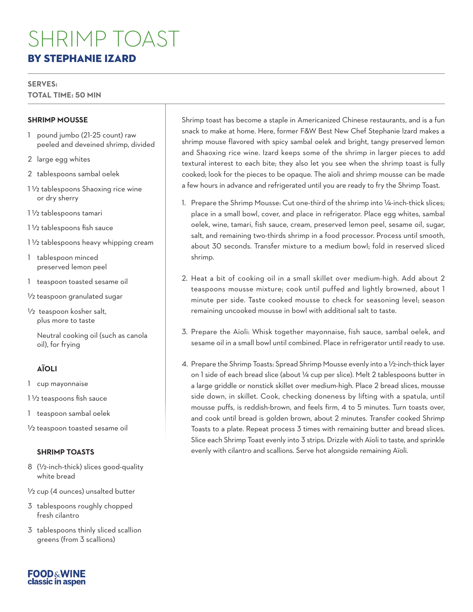# SHRIMP TOAST BY STEPHANIE IZARD

#### **SERVES:**

**TOTAL TIME: 50 MIN**

#### **SHRIMP MOUSSE**

- 1 pound jumbo (21-25 count) raw peeled and deveined shrimp, divided
- 2 large egg whites
- 2 tablespoons sambal oelek
- 1 1/2 tablespoons Shaoxing rice wine or dry sherry
- 1 1/2 tablespoons tamari
- 1 1/2 tablespoons fish sauce
- 1 1/2 tablespoons heavy whipping cream
- 1 tablespoon minced preserved lemon peel
- 1 teaspoon toasted sesame oil
- 1/2 teaspoon granulated sugar
- 1/2 teaspoon kosher salt, plus more to taste
	- Neutral cooking oil (such as canola oil), for frying

#### **AÏOLI**

- 1 cup mayonnaise
- 1 1/2 teaspoons fish sauce

1 teaspoon sambal oelek

1/2 teaspoon toasted sesame oil

#### **SHRIMP TOASTS**

- 8 (1/2-inch-thick) slices good-quality white bread
- 1/2 cup (4 ounces) unsalted butter
- 3 tablespoons roughly chopped fresh cilantro
- 3 tablespoons thinly sliced scallion greens (from 3 scallions)

Shrimp toast has become a staple in Americanized Chinese restaurants, and is a fun snack to make at home. Here, former F&W Best New Chef Stephanie Izard makes a shrimp mouse flavored with spicy sambal oelek and bright, tangy preserved lemon and Shaoxing rice wine. Izard keeps some of the shrimp in larger pieces to add textural interest to each bite; they also let you see when the shrimp toast is fully cooked; look for the pieces to be opaque. The aïoli and shrimp mousse can be made a few hours in advance and refrigerated until you are ready to fry the Shrimp Toast.

- 1. Prepare the Shrimp Mousse: Cut one-third of the shrimp into 1/4-inch-thick slices; place in a small bowl, cover, and place in refrigerator. Place egg whites, sambal oelek, wine, tamari, fish sauce, cream, preserved lemon peel, sesame oil, sugar, salt, and remaining two-thirds shrimp in a food processor. Process until smooth, about 30 seconds. Transfer mixture to a medium bowl; fold in reserved sliced shrimp.
- 2. Heat a bit of cooking oil in a small skillet over medium-high. Add about 2 teaspoons mousse mixture; cook until puffed and lightly browned, about 1 minute per side. Taste cooked mousse to check for seasoning level; season remaining uncooked mousse in bowl with additional salt to taste.
- 3. Prepare the Aïoli: Whisk together mayonnaise, fish sauce, sambal oelek, and sesame oil in a small bowl until combined. Place in refrigerator until ready to use.
- 4. Prepare the Shrimp Toasts: Spread Shrimp Mousse evenly into a 1/2-inch-thick layer on 1 side of each bread slice (about 1/4 cup per slice). Melt 2 tablespoons butter in a large griddle or nonstick skillet over medium-high. Place 2 bread slices, mousse side down, in skillet. Cook, checking doneness by lifting with a spatula, until mousse puffs, is reddish-brown, and feels firm, 4 to 5 minutes. Turn toasts over, and cook until bread is golden brown, about 2 minutes. Transfer cooked Shrimp Toasts to a plate. Repeat process 3 times with remaining butter and bread slices. Slice each Shrimp Toast evenly into 3 strips. Drizzle with Aïoli to taste, and sprinkle evenly with cilantro and scallions. Serve hot alongside remaining Aïoli.

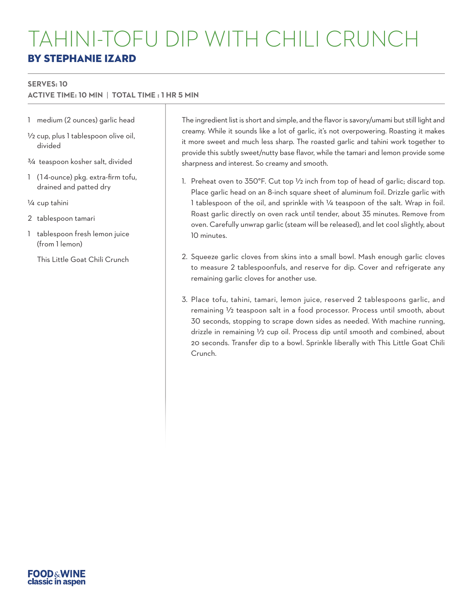#### **SERVES: 10**

**ACTIVE TIME: 10 MIN** | **TOTAL TIME : 1 HR 5 MIN**

- 1 medium (2 ounces) garlic head
- 1/2 cup, plus 1 tablespoon olive oil, divided
- 3/4 teaspoon kosher salt, divided
- 1 (14-ounce) pkg. extra-firm tofu, drained and patted dry
- 1/4 cup tahini
- 2 tablespoon tamari
- 1 tablespoon fresh lemon juice (from 1 lemon)
	- This Little Goat Chili Crunch

The ingredient list is short and simple, and the flavor is savory/umami but still light and creamy. While it sounds like a lot of garlic, it's not overpowering. Roasting it makes it more sweet and much less sharp. The roasted garlic and tahini work together to provide this subtly sweet/nutty base flavor, while the tamari and lemon provide some sharpness and interest. So creamy and smooth.

- 1. Preheat oven to  $350^{\circ}$ F. Cut top  $\frac{1}{2}$  inch from top of head of garlic; discard top. Place garlic head on an 8-inch square sheet of aluminum foil. Drizzle garlic with 1 tablespoon of the oil, and sprinkle with 1/4 teaspoon of the salt. Wrap in foil. Roast garlic directly on oven rack until tender, about 35 minutes. Remove from oven. Carefully unwrap garlic (steam will be released), and let cool slightly, about 10 minutes.
- 2. Squeeze garlic cloves from skins into a small bowl. Mash enough garlic cloves to measure 2 tablespoonfuls, and reserve for dip. Cover and refrigerate any remaining garlic cloves for another use.
- 3. Place tofu, tahini, tamari, lemon juice, reserved 2 tablespoons garlic, and remaining 1/2 teaspoon salt in a food processor. Process until smooth, about 30 seconds, stopping to scrape down sides as needed. With machine running, drizzle in remaining 1/2 cup oil. Process dip until smooth and combined, about 20 seconds. Transfer dip to a bowl. Sprinkle liberally with This Little Goat Chili Crunch.

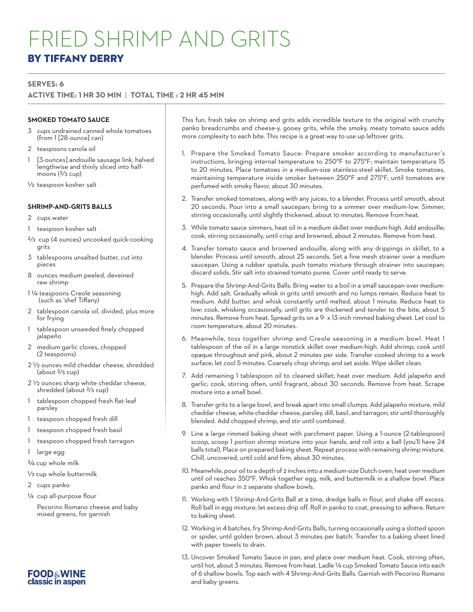## FRIED SHRIMP AND GRITS BY TIFFANY DERRY

#### **SERVES: 6**

#### **ACTIVE TIME: 1 HR 30 MIN** | **TOTAL TIME : 2 HR 45 MIN**

#### **SMOKED TOMATO SAUCE**

- 3 cups undrained canned whole tomatoes (from 1 [28-ounce] can)
- 2 teaspoons canola oil
- 1 [3-ounces] andouille sausage link, halved lengthwise and thinly sliced into halfmoons (2/3 cup)
- 1/2 teaspoon kosher salt

#### **SHRIMP-AND-GRITS BALLS**

- 2 cups water
- 1 teaspoon kosher salt
- 2/3 cup (4 ounces) uncooked quick-cooking grits
- 3 tablespoons unsalted butter, cut into pieces
- 8 ounces medium peeled, deveined raw shrimp
- 1 1/4 teaspoons Creole seasoning (such as 'shef Tiffany)
- 2 tablespoon canola oil, divided, plus more for frying
- 1 tablespoon unseeded finely chopped jalapeño
- 2 medium garlic cloves, chopped (2 teaspoons)
- 2 1/2 ounces mild cheddar cheese, shredded  $(about \frac{2}{3} cup)$
- 2 1/2 ounces sharp white cheddar cheese, shredded (about 2/3 cup)
- 1 tablespoon chopped fresh flat-leaf parsley
- 1 teaspoon chopped fresh dill
- 1 teaspoon chopped fresh basil
- 1 teaspoon chopped fresh tarragon
- 1 large egg
- 3/4 cup whole milk
- 1/3 cup whole buttermilk
- 2 cups panko
- 1/4 cup all-purpose flour
- Pecorino Romano cheese and baby mixed greens, for garnish



This fun, fresh take on shrimp and grits adds incredible texture to the original with crunchy panko breadcrumbs and cheese-y, gooey grits, while the smoky, meaty tomato sauce adds more complexity to each bite. This recipe is a great way to use up leftover grits.

- 1. Prepare the Smoked Tomato Sauce: Prepare smoker according to manufacturer's instructions, bringing internal temperature to 250°F to 275°F; maintain temperature 15 to 20 minutes. Place tomatoes in a medium-size stainless-steel skillet. Smoke tomatoes, maintaining temperature inside smoker between 250°F and 275°F, until tomatoes are perfumed with smoky flavor, about 30 minutes.
- 2. Transfer smoked tomatoes, along with any juices, to a blender. Process until smooth, about 20 seconds. Pour into a small saucepan; bring to a simmer over medium-low. Simmer, stirring occasionally, until slightly thickened, about 10 minutes. Remove from heat.
- 3. While tomato sauce simmers, heat oil in a medium skillet over medium-high. Add andouille; cook, stirring occasionally, until crisp and browned, about 2 minutes. Remove from heat.
- 4. Transfer tomato sauce and browned andouille, along with any drippings in skillet, to a blender. Process until smooth, about 25 seconds. Set a fine mesh strainer over a medium saucepan. Using a rubber spatula, push tomato mixture through strainer into saucepan; discard solids. Stir salt into strained tomato puree. Cover until ready to serve.
- 5. Prepare the Shrimp-And-Grits Balls: Bring water to a boil in a small saucepan over mediumhigh. Add salt. Gradually whisk in grits until smooth and no lumps remain. Reduce heat to medium. Add butter, and whisk constantly until melted, about 1 minute. Reduce heat to low; cook, whisking occasionally, until grits are thickened and tender to the bite, about 5 minutes. Remove from heat. Spread grits on a 9- x 13-inch rimmed baking sheet. Let cool to room temperature, about 20 minutes.
- 6. Meanwhile, toss together shrimp and Creole seasoning in a medium bowl. Heat 1 tablespoon of the oil in a large nonstick skillet over medium-high. Add shrimp; cook until opaque throughout and pink, about 2 minutes per side. Transfer cooked shrimp to a work surface; let cool 5 minutes. Coarsely chop shrimp, and set aside. Wipe skillet clean.
- 7. Add remaining 1 tablespoon oil to cleaned skillet; heat over medium. Add jalapeño and garlic; cook, stirring often, until fragrant, about 30 seconds. Remove from heat. Scrape mixture into a small bowl.
- 8. Transfer grits to a large bowl, and break apart into small clumps. Add jalapeño mixture, mild cheddar cheese, white cheddar cheese, parsley, dill, basil, and tarragon; stir until thoroughly blended. Add chopped shrimp, and stir until combined.
- 9. Line a large rimmed baking sheet with parchment paper. Using a 1-ounce (2-tablespoon) scoop, scoop 1 portion shrimp mixture into your hands, and roll into a ball (you'll have 24 balls total). Place on prepared baking sheet. Repeat process with remaining shrimp mixture. Chill, uncovered, until cold and firm, about 30 minutes.
- 10. Meanwhile, pour oil to a depth of 2 inches into a medium-size Dutch oven; heat over medium until oil reaches 350°F. Whisk together egg, milk, and buttermilk in a shallow bowl. Place panko and flour in 2 separate shallow bowls.
- 11. Working with 1 Shrimp-And-Grits Ball at a time, dredge balls in flour, and shake off excess. Roll ball in egg mixture; let excess drip off. Roll in panko to coat, pressing to adhere. Return to baking sheet.
- 12. Working in 4 batches, fry Shrimp-And-Grits Balls, turning occasionally using a slotted spoon or spider, until golden brown, about 3 minutes per batch. Transfer to a baking sheet lined with paper towels to drain.
- 13. Uncover Smoked Tomato Sauce in pan, and place over medium heat. Cook, stirring often, until hot, about 3 minutes. Remove from heat. Ladle 1/4 cup Smoked Tomato Sauce into each of 6 shallow bowls. Top each with 4 Shrimp-And-Grits Balls. Garnish with Pecorino Romano and baby greens.